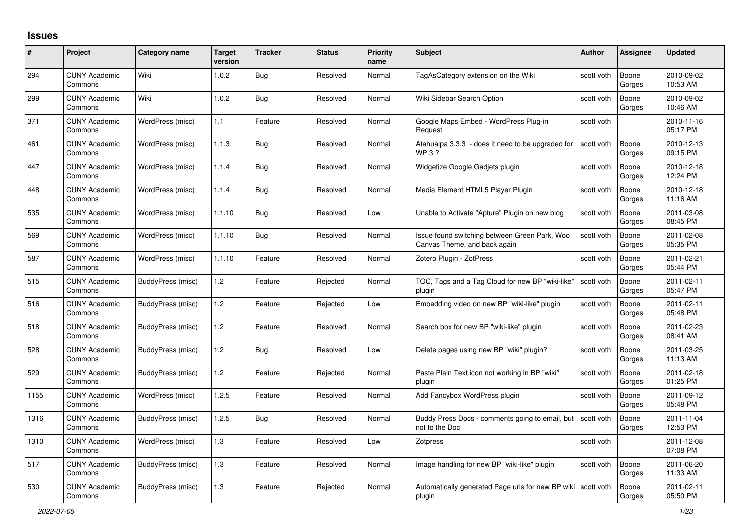## **Issues**

| #    | Project                         | Category name     | <b>Target</b><br>version | <b>Tracker</b> | <b>Status</b> | <b>Priority</b><br>name | <b>Subject</b>                                                                | Author     | <b>Assignee</b> | <b>Updated</b>         |
|------|---------------------------------|-------------------|--------------------------|----------------|---------------|-------------------------|-------------------------------------------------------------------------------|------------|-----------------|------------------------|
| 294  | <b>CUNY Academic</b><br>Commons | Wiki              | 1.0.2                    | <b>Bug</b>     | Resolved      | Normal                  | TagAsCategory extension on the Wiki                                           | scott voth | Boone<br>Gorges | 2010-09-02<br>10:53 AM |
| 299  | <b>CUNY Academic</b><br>Commons | Wiki              | 1.0.2                    | Bug            | Resolved      | Normal                  | Wiki Sidebar Search Option                                                    | scott voth | Boone<br>Gorges | 2010-09-02<br>10:46 AM |
| 371  | <b>CUNY Academic</b><br>Commons | WordPress (misc)  | 1.1                      | Feature        | Resolved      | Normal                  | Google Maps Embed - WordPress Plug-in<br>Request                              | scott voth |                 | 2010-11-16<br>05:17 PM |
| 461  | <b>CUNY Academic</b><br>Commons | WordPress (misc)  | 1.1.3                    | <b>Bug</b>     | Resolved      | Normal                  | Atahualpa 3.3.3 - does it need to be upgraded for<br><b>WP3?</b>              | scott voth | Boone<br>Gorges | 2010-12-13<br>09:15 PM |
| 447  | <b>CUNY Academic</b><br>Commons | WordPress (misc)  | 1.1.4                    | Bug            | Resolved      | Normal                  | Widgetize Google Gadjets plugin                                               | scott voth | Boone<br>Gorges | 2010-12-18<br>12:24 PM |
| 448  | <b>CUNY Academic</b><br>Commons | WordPress (misc)  | 1.1.4                    | <b>Bug</b>     | Resolved      | Normal                  | Media Element HTML5 Player Plugin                                             | scott voth | Boone<br>Gorges | 2010-12-18<br>11:16 AM |
| 535  | <b>CUNY Academic</b><br>Commons | WordPress (misc)  | 1.1.10                   | <b>Bug</b>     | Resolved      | Low                     | Unable to Activate "Apture" Plugin on new blog                                | scott voth | Boone<br>Gorges | 2011-03-08<br>08:45 PM |
| 569  | <b>CUNY Academic</b><br>Commons | WordPress (misc)  | 1.1.10                   | Bug            | Resolved      | Normal                  | Issue found switching between Green Park, Woo<br>Canvas Theme, and back again | scott voth | Boone<br>Gorges | 2011-02-08<br>05:35 PM |
| 587  | <b>CUNY Academic</b><br>Commons | WordPress (misc)  | 1.1.10                   | Feature        | Resolved      | Normal                  | Zotero Plugin - ZotPress                                                      | scott voth | Boone<br>Gorges | 2011-02-21<br>05:44 PM |
| 515  | <b>CUNY Academic</b><br>Commons | BuddyPress (misc) | 1.2                      | Feature        | Rejected      | Normal                  | TOC, Tags and a Tag Cloud for new BP "wiki-like"<br>plugin                    | scott voth | Boone<br>Gorges | 2011-02-11<br>05:47 PM |
| 516  | <b>CUNY Academic</b><br>Commons | BuddyPress (misc) | $1.2$                    | Feature        | Rejected      | Low                     | Embedding video on new BP "wiki-like" plugin                                  | scott voth | Boone<br>Gorges | 2011-02-11<br>05:48 PM |
| 518  | <b>CUNY Academic</b><br>Commons | BuddyPress (misc) | 1.2                      | Feature        | Resolved      | Normal                  | Search box for new BP "wiki-like" plugin                                      | scott voth | Boone<br>Gorges | 2011-02-23<br>08:41 AM |
| 528  | <b>CUNY Academic</b><br>Commons | BuddyPress (misc) | 1.2                      | Bug            | Resolved      | Low                     | Delete pages using new BP "wiki" plugin?                                      | scott voth | Boone<br>Gorges | 2011-03-25<br>11:13 AM |
| 529  | <b>CUNY Academic</b><br>Commons | BuddyPress (misc) | 1.2                      | Feature        | Rejected      | Normal                  | Paste Plain Text icon not working in BP "wiki"<br>plugin                      | scott voth | Boone<br>Gorges | 2011-02-18<br>01:25 PM |
| 1155 | <b>CUNY Academic</b><br>Commons | WordPress (misc)  | 1.2.5                    | Feature        | Resolved      | Normal                  | Add Fancybox WordPress plugin                                                 | scott voth | Boone<br>Gorges | 2011-09-12<br>05:48 PM |
| 1316 | <b>CUNY Academic</b><br>Commons | BuddyPress (misc) | 1.2.5                    | Bug            | Resolved      | Normal                  | Buddy Press Docs - comments going to email, but  <br>not to the Doc           | scott voth | Boone<br>Gorges | 2011-11-04<br>12:53 PM |
| 1310 | <b>CUNY Academic</b><br>Commons | WordPress (misc)  | 1.3                      | Feature        | Resolved      | Low                     | <b>Zotpress</b>                                                               | scott voth |                 | 2011-12-08<br>07:08 PM |
| 517  | <b>CUNY Academic</b><br>Commons | BuddyPress (misc) | 1.3                      | Feature        | Resolved      | Normal                  | Image handling for new BP "wiki-like" plugin                                  | scott voth | Boone<br>Gorges | 2011-06-20<br>11:33 AM |
| 530  | <b>CUNY Academic</b><br>Commons | BuddyPress (misc) | 1.3                      | Feature        | Rejected      | Normal                  | Automatically generated Page urls for new BP wiki Scott voth<br>plugin        |            | Boone<br>Gorges | 2011-02-11<br>05:50 PM |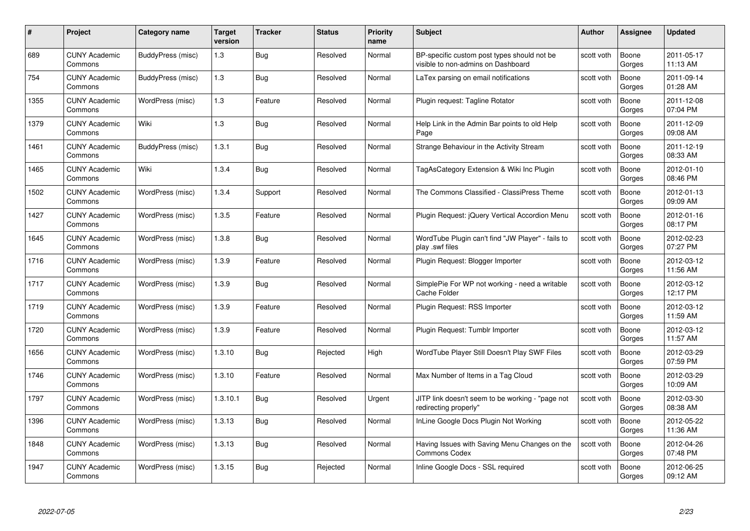| #    | Project                         | <b>Category name</b> | Target<br>version | <b>Tracker</b> | <b>Status</b> | <b>Priority</b><br>name | <b>Subject</b>                                                                    | <b>Author</b> | <b>Assignee</b> | <b>Updated</b>         |
|------|---------------------------------|----------------------|-------------------|----------------|---------------|-------------------------|-----------------------------------------------------------------------------------|---------------|-----------------|------------------------|
| 689  | <b>CUNY Academic</b><br>Commons | BuddyPress (misc)    | 1.3               | Bug            | Resolved      | Normal                  | BP-specific custom post types should not be<br>visible to non-admins on Dashboard | scott voth    | Boone<br>Gorges | 2011-05-17<br>11:13 AM |
| 754  | <b>CUNY Academic</b><br>Commons | BuddyPress (misc)    | 1.3               | <b>Bug</b>     | Resolved      | Normal                  | LaTex parsing on email notifications                                              | scott voth    | Boone<br>Gorges | 2011-09-14<br>01:28 AM |
| 1355 | <b>CUNY Academic</b><br>Commons | WordPress (misc)     | $1.3$             | Feature        | Resolved      | Normal                  | Plugin request: Tagline Rotator                                                   | scott voth    | Boone<br>Gorges | 2011-12-08<br>07:04 PM |
| 1379 | <b>CUNY Academic</b><br>Commons | Wiki                 | 1.3               | Bug            | Resolved      | Normal                  | Help Link in the Admin Bar points to old Help<br>Page                             | scott voth    | Boone<br>Gorges | 2011-12-09<br>09:08 AM |
| 1461 | CUNY Academic<br>Commons        | BuddyPress (misc)    | 1.3.1             | <b>Bug</b>     | Resolved      | Normal                  | Strange Behaviour in the Activity Stream                                          | scott voth    | Boone<br>Gorges | 2011-12-19<br>08:33 AM |
| 1465 | <b>CUNY Academic</b><br>Commons | Wiki                 | 1.3.4             | <b>Bug</b>     | Resolved      | Normal                  | TagAsCategory Extension & Wiki Inc Plugin                                         | scott voth    | Boone<br>Gorges | 2012-01-10<br>08:46 PM |
| 1502 | <b>CUNY Academic</b><br>Commons | WordPress (misc)     | 1.3.4             | Support        | Resolved      | Normal                  | The Commons Classified - ClassiPress Theme                                        | scott voth    | Boone<br>Gorges | 2012-01-13<br>09:09 AM |
| 1427 | <b>CUNY Academic</b><br>Commons | WordPress (misc)     | 1.3.5             | Feature        | Resolved      | Normal                  | Plugin Request: jQuery Vertical Accordion Menu                                    | scott voth    | Boone<br>Gorges | 2012-01-16<br>08:17 PM |
| 1645 | <b>CUNY Academic</b><br>Commons | WordPress (misc)     | 1.3.8             | <b>Bug</b>     | Resolved      | Normal                  | WordTube Plugin can't find "JW Player" - fails to<br>play .swf files              | scott voth    | Boone<br>Gorges | 2012-02-23<br>07:27 PM |
| 1716 | <b>CUNY Academic</b><br>Commons | WordPress (misc)     | 1.3.9             | Feature        | Resolved      | Normal                  | Plugin Request: Blogger Importer                                                  | scott voth    | Boone<br>Gorges | 2012-03-12<br>11:56 AM |
| 1717 | CUNY Academic<br>Commons        | WordPress (misc)     | 1.3.9             | Bug            | Resolved      | Normal                  | SimplePie For WP not working - need a writable<br>Cache Folder                    | scott voth    | Boone<br>Gorges | 2012-03-12<br>12:17 PM |
| 1719 | <b>CUNY Academic</b><br>Commons | WordPress (misc)     | 1.3.9             | Feature        | Resolved      | Normal                  | Plugin Request: RSS Importer                                                      | scott voth    | Boone<br>Gorges | 2012-03-12<br>11:59 AM |
| 1720 | <b>CUNY Academic</b><br>Commons | WordPress (misc)     | 1.3.9             | Feature        | Resolved      | Normal                  | Plugin Request: Tumblr Importer                                                   | scott voth    | Boone<br>Gorges | 2012-03-12<br>11:57 AM |
| 1656 | <b>CUNY Academic</b><br>Commons | WordPress (misc)     | 1.3.10            | <b>Bug</b>     | Rejected      | High                    | WordTube Player Still Doesn't Play SWF Files                                      | scott voth    | Boone<br>Gorges | 2012-03-29<br>07:59 PM |
| 1746 | <b>CUNY Academic</b><br>Commons | WordPress (misc)     | 1.3.10            | Feature        | Resolved      | Normal                  | Max Number of Items in a Tag Cloud                                                | scott voth    | Boone<br>Gorges | 2012-03-29<br>10:09 AM |
| 1797 | <b>CUNY Academic</b><br>Commons | WordPress (misc)     | 1.3.10.1          | Bug            | Resolved      | Urgent                  | JITP link doesn't seem to be working - "page not<br>redirecting properly"         | scott voth    | Boone<br>Gorges | 2012-03-30<br>08:38 AM |
| 1396 | <b>CUNY Academic</b><br>Commons | WordPress (misc)     | 1.3.13            | <b>Bug</b>     | Resolved      | Normal                  | InLine Google Docs Plugin Not Working                                             | scott voth    | Boone<br>Gorges | 2012-05-22<br>11:36 AM |
| 1848 | <b>CUNY Academic</b><br>Commons | WordPress (misc)     | 1.3.13            | <b>Bug</b>     | Resolved      | Normal                  | Having Issues with Saving Menu Changes on the<br><b>Commons Codex</b>             | scott voth    | Boone<br>Gorges | 2012-04-26<br>07:48 PM |
| 1947 | CUNY Academic<br>Commons        | WordPress (misc)     | 1.3.15            | Bug            | Rejected      | Normal                  | Inline Google Docs - SSL required                                                 | scott voth    | Boone<br>Gorges | 2012-06-25<br>09:12 AM |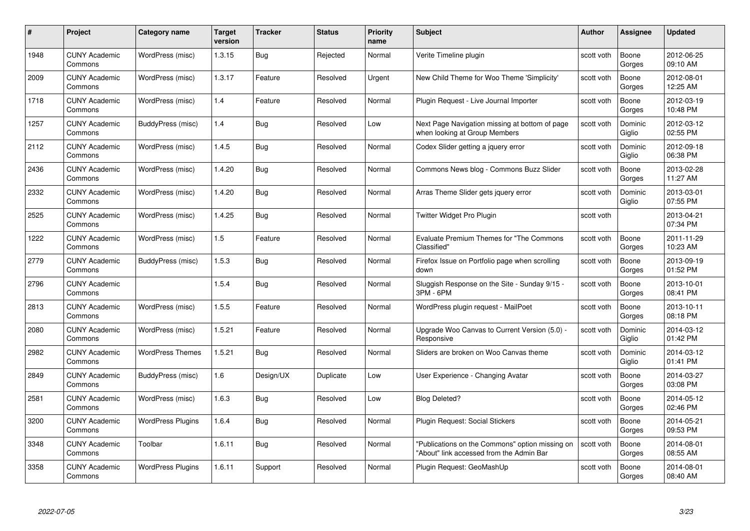| #    | Project                         | Category name            | Target<br>version | <b>Tracker</b> | <b>Status</b> | <b>Priority</b><br>name | <b>Subject</b>                                                                              | Author     | <b>Assignee</b>   | <b>Updated</b>         |
|------|---------------------------------|--------------------------|-------------------|----------------|---------------|-------------------------|---------------------------------------------------------------------------------------------|------------|-------------------|------------------------|
| 1948 | <b>CUNY Academic</b><br>Commons | WordPress (misc)         | 1.3.15            | Bug            | Rejected      | Normal                  | Verite Timeline plugin                                                                      | scott voth | Boone<br>Gorges   | 2012-06-25<br>09:10 AM |
| 2009 | <b>CUNY Academic</b><br>Commons | WordPress (misc)         | 1.3.17            | Feature        | Resolved      | Urgent                  | New Child Theme for Woo Theme 'Simplicity'                                                  | scott voth | Boone<br>Gorges   | 2012-08-01<br>12:25 AM |
| 1718 | <b>CUNY Academic</b><br>Commons | WordPress (misc)         | 1.4               | Feature        | Resolved      | Normal                  | Plugin Request - Live Journal Importer                                                      | scott voth | Boone<br>Gorges   | 2012-03-19<br>10:48 PM |
| 1257 | <b>CUNY Academic</b><br>Commons | BuddyPress (misc)        | 1.4               | Bug            | Resolved      | Low                     | Next Page Navigation missing at bottom of page<br>when looking at Group Members             | scott voth | Dominic<br>Giglio | 2012-03-12<br>02:55 PM |
| 2112 | <b>CUNY Academic</b><br>Commons | WordPress (misc)         | 1.4.5             | <b>Bug</b>     | Resolved      | Normal                  | Codex Slider getting a jquery error                                                         | scott voth | Dominic<br>Giglio | 2012-09-18<br>06:38 PM |
| 2436 | <b>CUNY Academic</b><br>Commons | WordPress (misc)         | 1.4.20            | <b>Bug</b>     | Resolved      | Normal                  | Commons News blog - Commons Buzz Slider                                                     | scott voth | Boone<br>Gorges   | 2013-02-28<br>11:27 AM |
| 2332 | <b>CUNY Academic</b><br>Commons | WordPress (misc)         | 1.4.20            | Bug            | Resolved      | Normal                  | Arras Theme Slider gets jquery error                                                        | scott voth | Dominic<br>Giglio | 2013-03-01<br>07:55 PM |
| 2525 | <b>CUNY Academic</b><br>Commons | WordPress (misc)         | 1.4.25            | Bug            | Resolved      | Normal                  | Twitter Widget Pro Plugin                                                                   | scott voth |                   | 2013-04-21<br>07:34 PM |
| 1222 | <b>CUNY Academic</b><br>Commons | WordPress (misc)         | 1.5               | Feature        | Resolved      | Normal                  | Evaluate Premium Themes for "The Commons<br>Classified"                                     | scott voth | Boone<br>Gorges   | 2011-11-29<br>10:23 AM |
| 2779 | <b>CUNY Academic</b><br>Commons | BuddyPress (misc)        | 1.5.3             | <b>Bug</b>     | Resolved      | Normal                  | Firefox Issue on Portfolio page when scrolling<br>down                                      | scott voth | Boone<br>Gorges   | 2013-09-19<br>01:52 PM |
| 2796 | <b>CUNY Academic</b><br>Commons |                          | 1.5.4             | <b>Bug</b>     | Resolved      | Normal                  | Sluggish Response on the Site - Sunday 9/15 -<br>3PM - 6PM                                  | scott voth | Boone<br>Gorges   | 2013-10-01<br>08:41 PM |
| 2813 | <b>CUNY Academic</b><br>Commons | WordPress (misc)         | 1.5.5             | Feature        | Resolved      | Normal                  | WordPress plugin request - MailPoet                                                         | scott voth | Boone<br>Gorges   | 2013-10-11<br>08:18 PM |
| 2080 | <b>CUNY Academic</b><br>Commons | WordPress (misc)         | 1.5.21            | Feature        | Resolved      | Normal                  | Upgrade Woo Canvas to Current Version (5.0) -<br>Responsive                                 | scott voth | Dominic<br>Giglio | 2014-03-12<br>01:42 PM |
| 2982 | <b>CUNY Academic</b><br>Commons | <b>WordPress Themes</b>  | 1.5.21            | <b>Bug</b>     | Resolved      | Normal                  | Sliders are broken on Woo Canvas theme                                                      | scott voth | Dominic<br>Giglio | 2014-03-12<br>01:41 PM |
| 2849 | <b>CUNY Academic</b><br>Commons | BuddyPress (misc)        | 1.6               | Design/UX      | Duplicate     | Low                     | User Experience - Changing Avatar                                                           | scott voth | Boone<br>Gorges   | 2014-03-27<br>03:08 PM |
| 2581 | <b>CUNY Academic</b><br>Commons | WordPress (misc)         | 1.6.3             | <b>Bug</b>     | Resolved      | Low                     | <b>Blog Deleted?</b>                                                                        | scott voth | Boone<br>Gorges   | 2014-05-12<br>02:46 PM |
| 3200 | <b>CUNY Academic</b><br>Commons | <b>WordPress Plugins</b> | 1.6.4             | Bug            | Resolved      | Normal                  | Plugin Request: Social Stickers                                                             | scott voth | Boone<br>Gorges   | 2014-05-21<br>09:53 PM |
| 3348 | <b>CUNY Academic</b><br>Commons | Toolbar                  | 1.6.11            | <b>Bug</b>     | Resolved      | Normal                  | "Publications on the Commons" option missing on<br>"About" link accessed from the Admin Bar | scott voth | Boone<br>Gorges   | 2014-08-01<br>08:55 AM |
| 3358 | <b>CUNY Academic</b><br>Commons | <b>WordPress Plugins</b> | 1.6.11            | Support        | Resolved      | Normal                  | Plugin Request: GeoMashUp                                                                   | scott voth | Boone<br>Gorges   | 2014-08-01<br>08:40 AM |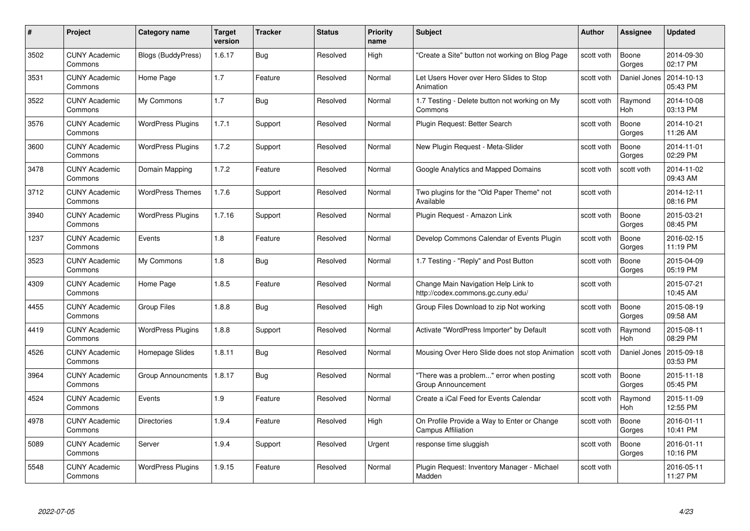| #    | Project                         | <b>Category name</b>     | Target<br>version | <b>Tracker</b> | <b>Status</b> | <b>Priority</b><br>name | <b>Subject</b>                                                           | <b>Author</b> | Assignee        | <b>Updated</b>         |
|------|---------------------------------|--------------------------|-------------------|----------------|---------------|-------------------------|--------------------------------------------------------------------------|---------------|-----------------|------------------------|
| 3502 | <b>CUNY Academic</b><br>Commons | Blogs (BuddyPress)       | 1.6.17            | Bug            | Resolved      | High                    | "Create a Site" button not working on Blog Page                          | scott voth    | Boone<br>Gorges | 2014-09-30<br>02:17 PM |
| 3531 | <b>CUNY Academic</b><br>Commons | Home Page                | 1.7               | Feature        | Resolved      | Normal                  | Let Users Hover over Hero Slides to Stop<br>Animation                    | scott voth    | Daniel Jones    | 2014-10-13<br>05:43 PM |
| 3522 | CUNY Academic<br>Commons        | My Commons               | 1.7               | <b>Bug</b>     | Resolved      | Normal                  | 1.7 Testing - Delete button not working on My<br>Commons                 | scott voth    | Raymond<br>Hoh  | 2014-10-08<br>03:13 PM |
| 3576 | <b>CUNY Academic</b><br>Commons | <b>WordPress Plugins</b> | 1.7.1             | Support        | Resolved      | Normal                  | Plugin Request: Better Search                                            | scott voth    | Boone<br>Gorges | 2014-10-21<br>11:26 AM |
| 3600 | <b>CUNY Academic</b><br>Commons | <b>WordPress Plugins</b> | 1.7.2             | Support        | Resolved      | Normal                  | New Plugin Request - Meta-Slider                                         | scott voth    | Boone<br>Gorges | 2014-11-01<br>02:29 PM |
| 3478 | <b>CUNY Academic</b><br>Commons | Domain Mapping           | 1.7.2             | Feature        | Resolved      | Normal                  | Google Analytics and Mapped Domains                                      | scott voth    | scott voth      | 2014-11-02<br>09:43 AM |
| 3712 | <b>CUNY Academic</b><br>Commons | <b>WordPress Themes</b>  | 1.7.6             | Support        | Resolved      | Normal                  | Two plugins for the "Old Paper Theme" not<br>Available                   | scott voth    |                 | 2014-12-11<br>08:16 PM |
| 3940 | <b>CUNY Academic</b><br>Commons | <b>WordPress Plugins</b> | 1.7.16            | Support        | Resolved      | Normal                  | Plugin Request - Amazon Link                                             | scott voth    | Boone<br>Gorges | 2015-03-21<br>08:45 PM |
| 1237 | <b>CUNY Academic</b><br>Commons | Events                   | 1.8               | Feature        | Resolved      | Normal                  | Develop Commons Calendar of Events Plugin                                | scott voth    | Boone<br>Gorges | 2016-02-15<br>11:19 PM |
| 3523 | <b>CUNY Academic</b><br>Commons | My Commons               | 1.8               | Bug            | Resolved      | Normal                  | 1.7 Testing - "Reply" and Post Button                                    | scott voth    | Boone<br>Gorges | 2015-04-09<br>05:19 PM |
| 4309 | <b>CUNY Academic</b><br>Commons | Home Page                | 1.8.5             | Feature        | Resolved      | Normal                  | Change Main Navigation Help Link to<br>http://codex.commons.gc.cuny.edu/ | scott voth    |                 | 2015-07-21<br>10:45 AM |
| 4455 | <b>CUNY Academic</b><br>Commons | <b>Group Files</b>       | 1.8.8             | <b>Bug</b>     | Resolved      | High                    | Group Files Download to zip Not working                                  | scott voth    | Boone<br>Gorges | 2015-08-19<br>09:58 AM |
| 4419 | <b>CUNY Academic</b><br>Commons | <b>WordPress Plugins</b> | 1.8.8             | Support        | Resolved      | Normal                  | Activate "WordPress Importer" by Default                                 | scott voth    | Raymond<br>Hoh  | 2015-08-11<br>08:29 PM |
| 4526 | <b>CUNY Academic</b><br>Commons | Homepage Slides          | 1.8.11            | Bug            | Resolved      | Normal                  | Mousing Over Hero Slide does not stop Animation                          | scott voth    | Daniel Jones    | 2015-09-18<br>03:53 PM |
| 3964 | <b>CUNY Academic</b><br>Commons | Group Announcments       | 1.8.17            | Bug            | Resolved      | Normal                  | "There was a problem" error when posting<br>Group Announcement           | scott voth    | Boone<br>Gorges | 2015-11-18<br>05:45 PM |
| 4524 | <b>CUNY Academic</b><br>Commons | Events                   | 1.9               | Feature        | Resolved      | Normal                  | Create a iCal Feed for Events Calendar                                   | scott voth    | Raymond<br>Hoh  | 2015-11-09<br>12:55 PM |
| 4978 | <b>CUNY Academic</b><br>Commons | <b>Directories</b>       | 1.9.4             | Feature        | Resolved      | High                    | On Profile Provide a Way to Enter or Change<br><b>Campus Affiliation</b> | scott voth    | Boone<br>Gorges | 2016-01-11<br>10:41 PM |
| 5089 | <b>CUNY Academic</b><br>Commons | Server                   | 1.9.4             | Support        | Resolved      | Urgent                  | response time sluggish                                                   | scott voth    | Boone<br>Gorges | 2016-01-11<br>10:16 PM |
| 5548 | CUNY Academic<br>Commons        | <b>WordPress Plugins</b> | 1.9.15            | Feature        | Resolved      | Normal                  | Plugin Request: Inventory Manager - Michael<br>Madden                    | scott voth    |                 | 2016-05-11<br>11:27 PM |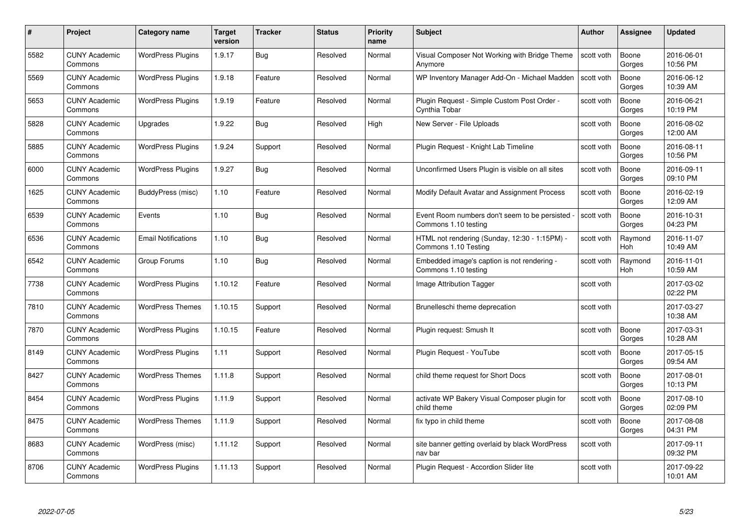| #    | Project                         | <b>Category name</b>       | Target<br>version | <b>Tracker</b> | <b>Status</b> | <b>Priority</b><br>name | <b>Subject</b>                                                        | <b>Author</b> | <b>Assignee</b> | <b>Updated</b>         |
|------|---------------------------------|----------------------------|-------------------|----------------|---------------|-------------------------|-----------------------------------------------------------------------|---------------|-----------------|------------------------|
| 5582 | <b>CUNY Academic</b><br>Commons | <b>WordPress Plugins</b>   | 1.9.17            | Bug            | Resolved      | Normal                  | Visual Composer Not Working with Bridge Theme<br>Anymore              | scott voth    | Boone<br>Gorges | 2016-06-01<br>10:56 PM |
| 5569 | <b>CUNY Academic</b><br>Commons | <b>WordPress Plugins</b>   | 1.9.18            | Feature        | Resolved      | Normal                  | WP Inventory Manager Add-On - Michael Madden                          | scott voth    | Boone<br>Gorges | 2016-06-12<br>10:39 AM |
| 5653 | <b>CUNY Academic</b><br>Commons | <b>WordPress Plugins</b>   | 1.9.19            | Feature        | Resolved      | Normal                  | Plugin Request - Simple Custom Post Order -<br>Cynthia Tobar          | scott voth    | Boone<br>Gorges | 2016-06-21<br>10:19 PM |
| 5828 | <b>CUNY Academic</b><br>Commons | Upgrades                   | 1.9.22            | Bug            | Resolved      | High                    | New Server - File Uploads                                             | scott voth    | Boone<br>Gorges | 2016-08-02<br>12:00 AM |
| 5885 | CUNY Academic<br>Commons        | <b>WordPress Plugins</b>   | 1.9.24            | Support        | Resolved      | Normal                  | Plugin Request - Knight Lab Timeline                                  | scott voth    | Boone<br>Gorges | 2016-08-11<br>10:56 PM |
| 6000 | <b>CUNY Academic</b><br>Commons | <b>WordPress Plugins</b>   | 1.9.27            | Bug            | Resolved      | Normal                  | Unconfirmed Users Plugin is visible on all sites                      | scott voth    | Boone<br>Gorges | 2016-09-11<br>09:10 PM |
| 1625 | <b>CUNY Academic</b><br>Commons | BuddyPress (misc)          | 1.10              | Feature        | Resolved      | Normal                  | Modify Default Avatar and Assignment Process                          | scott voth    | Boone<br>Gorges | 2016-02-19<br>12:09 AM |
| 6539 | <b>CUNY Academic</b><br>Commons | Events                     | 1.10              | Bug            | Resolved      | Normal                  | Event Room numbers don't seem to be persisted<br>Commons 1.10 testing | scott voth    | Boone<br>Gorges | 2016-10-31<br>04:23 PM |
| 6536 | <b>CUNY Academic</b><br>Commons | <b>Email Notifications</b> | 1.10              | Bug            | Resolved      | Normal                  | HTML not rendering (Sunday, 12:30 - 1:15PM) -<br>Commons 1.10 Testing | scott voth    | Raymond<br>Hoh  | 2016-11-07<br>10:49 AM |
| 6542 | <b>CUNY Academic</b><br>Commons | Group Forums               | 1.10              | <b>Bug</b>     | Resolved      | Normal                  | Embedded image's caption is not rendering -<br>Commons 1.10 testing   | scott voth    | Raymond<br>Hoh  | 2016-11-01<br>10:59 AM |
| 7738 | CUNY Academic<br>Commons        | <b>WordPress Plugins</b>   | 1.10.12           | Feature        | Resolved      | Normal                  | Image Attribution Tagger                                              | scott voth    |                 | 2017-03-02<br>02:22 PM |
| 7810 | <b>CUNY Academic</b><br>Commons | <b>WordPress Themes</b>    | 1.10.15           | Support        | Resolved      | Normal                  | Brunelleschi theme deprecation                                        | scott voth    |                 | 2017-03-27<br>10:38 AM |
| 7870 | <b>CUNY Academic</b><br>Commons | <b>WordPress Plugins</b>   | 1.10.15           | Feature        | Resolved      | Normal                  | Plugin request: Smush It                                              | scott voth    | Boone<br>Gorges | 2017-03-31<br>10:28 AM |
| 8149 | <b>CUNY Academic</b><br>Commons | <b>WordPress Plugins</b>   | 1.11              | Support        | Resolved      | Normal                  | Plugin Request - YouTube                                              | scott voth    | Boone<br>Gorges | 2017-05-15<br>09:54 AM |
| 8427 | <b>CUNY Academic</b><br>Commons | <b>WordPress Themes</b>    | 1.11.8            | Support        | Resolved      | Normal                  | child theme request for Short Docs                                    | scott voth    | Boone<br>Gorges | 2017-08-01<br>10:13 PM |
| 8454 | <b>CUNY Academic</b><br>Commons | <b>WordPress Plugins</b>   | 1.11.9            | Support        | Resolved      | Normal                  | activate WP Bakery Visual Composer plugin for<br>child theme          | scott voth    | Boone<br>Gorges | 2017-08-10<br>02:09 PM |
| 8475 | <b>CUNY Academic</b><br>Commons | <b>WordPress Themes</b>    | 1.11.9            | Support        | Resolved      | Normal                  | fix typo in child theme                                               | scott voth    | Boone<br>Gorges | 2017-08-08<br>04:31 PM |
| 8683 | <b>CUNY Academic</b><br>Commons | WordPress (misc)           | 1.11.12           | Support        | Resolved      | Normal                  | site banner getting overlaid by black WordPress<br>nav bar            | scott voth    |                 | 2017-09-11<br>09:32 PM |
| 8706 | CUNY Academic<br>Commons        | <b>WordPress Plugins</b>   | 1.11.13           | Support        | Resolved      | Normal                  | Plugin Request - Accordion Slider lite                                | scott voth    |                 | 2017-09-22<br>10:01 AM |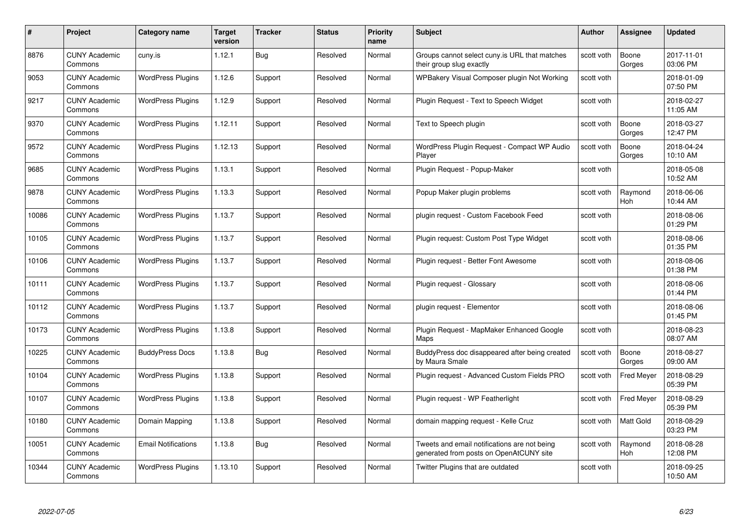| #     | Project                         | <b>Category name</b>       | Target<br>version | <b>Tracker</b> | <b>Status</b> | <b>Priority</b><br>name | <b>Subject</b>                                                                          | <b>Author</b> | <b>Assignee</b>   | <b>Updated</b>         |
|-------|---------------------------------|----------------------------|-------------------|----------------|---------------|-------------------------|-----------------------------------------------------------------------------------------|---------------|-------------------|------------------------|
| 8876  | <b>CUNY Academic</b><br>Commons | cuny.is                    | 1.12.1            | Bug            | Resolved      | Normal                  | Groups cannot select cuny is URL that matches<br>their group slug exactly               | scott voth    | Boone<br>Gorges   | 2017-11-01<br>03:06 PM |
| 9053  | <b>CUNY Academic</b><br>Commons | <b>WordPress Plugins</b>   | 1.12.6            | Support        | Resolved      | Normal                  | WPBakery Visual Composer plugin Not Working                                             | scott voth    |                   | 2018-01-09<br>07:50 PM |
| 9217  | <b>CUNY Academic</b><br>Commons | <b>WordPress Plugins</b>   | 1.12.9            | Support        | Resolved      | Normal                  | Plugin Request - Text to Speech Widget                                                  | scott voth    |                   | 2018-02-27<br>11:05 AM |
| 9370  | <b>CUNY Academic</b><br>Commons | <b>WordPress Plugins</b>   | 1.12.11           | Support        | Resolved      | Normal                  | Text to Speech plugin                                                                   | scott voth    | Boone<br>Gorges   | 2018-03-27<br>12:47 PM |
| 9572  | CUNY Academic<br>Commons        | <b>WordPress Plugins</b>   | 1.12.13           | Support        | Resolved      | Normal                  | WordPress Plugin Request - Compact WP Audio<br>Player                                   | scott voth    | Boone<br>Gorges   | 2018-04-24<br>10:10 AM |
| 9685  | <b>CUNY Academic</b><br>Commons | <b>WordPress Plugins</b>   | 1.13.1            | Support        | Resolved      | Normal                  | Plugin Request - Popup-Maker                                                            | scott voth    |                   | 2018-05-08<br>10:52 AM |
| 9878  | <b>CUNY Academic</b><br>Commons | <b>WordPress Plugins</b>   | 1.13.3            | Support        | Resolved      | Normal                  | Popup Maker plugin problems                                                             | scott voth    | Raymond<br>Hoh    | 2018-06-06<br>10:44 AM |
| 10086 | <b>CUNY Academic</b><br>Commons | <b>WordPress Plugins</b>   | 1.13.7            | Support        | Resolved      | Normal                  | plugin request - Custom Facebook Feed                                                   | scott voth    |                   | 2018-08-06<br>01:29 PM |
| 10105 | <b>CUNY Academic</b><br>Commons | <b>WordPress Plugins</b>   | 1.13.7            | Support        | Resolved      | Normal                  | Plugin request: Custom Post Type Widget                                                 | scott voth    |                   | 2018-08-06<br>01:35 PM |
| 10106 | <b>CUNY Academic</b><br>Commons | <b>WordPress Plugins</b>   | 1.13.7            | Support        | Resolved      | Normal                  | Plugin request - Better Font Awesome                                                    | scott voth    |                   | 2018-08-06<br>01:38 PM |
| 10111 | CUNY Academic<br>Commons        | <b>WordPress Plugins</b>   | 1.13.7            | Support        | Resolved      | Normal                  | Plugin request - Glossary                                                               | scott voth    |                   | 2018-08-06<br>01:44 PM |
| 10112 | <b>CUNY Academic</b><br>Commons | <b>WordPress Plugins</b>   | 1.13.7            | Support        | Resolved      | Normal                  | plugin request - Elementor                                                              | scott voth    |                   | 2018-08-06<br>01:45 PM |
| 10173 | <b>CUNY Academic</b><br>Commons | <b>WordPress Plugins</b>   | 1.13.8            | Support        | Resolved      | Normal                  | Plugin Request - MapMaker Enhanced Google<br>Maps                                       | scott voth    |                   | 2018-08-23<br>08:07 AM |
| 10225 | <b>CUNY Academic</b><br>Commons | <b>BuddyPress Docs</b>     | 1.13.8            | Bug            | Resolved      | Normal                  | BuddyPress doc disappeared after being created<br>by Maura Smale                        | scott voth    | Boone<br>Gorges   | 2018-08-27<br>09:00 AM |
| 10104 | <b>CUNY Academic</b><br>Commons | <b>WordPress Plugins</b>   | 1.13.8            | Support        | Resolved      | Normal                  | Plugin request - Advanced Custom Fields PRO                                             | scott voth    | <b>Fred Meyer</b> | 2018-08-29<br>05:39 PM |
| 10107 | <b>CUNY Academic</b><br>Commons | <b>WordPress Plugins</b>   | 1.13.8            | Support        | Resolved      | Normal                  | Plugin request - WP Featherlight                                                        | scott voth    | <b>Fred Meyer</b> | 2018-08-29<br>05:39 PM |
| 10180 | <b>CUNY Academic</b><br>Commons | Domain Mapping             | 1.13.8            | Support        | Resolved      | Normal                  | domain mapping request - Kelle Cruz                                                     | scott voth    | Matt Gold         | 2018-08-29<br>03:23 PM |
| 10051 | <b>CUNY Academic</b><br>Commons | <b>Email Notifications</b> | 1.13.8            | <b>Bug</b>     | Resolved      | Normal                  | Tweets and email notifications are not being<br>generated from posts on OpenAtCUNY site | scott voth    | Raymond<br>Hoh    | 2018-08-28<br>12:08 PM |
| 10344 | CUNY Academic<br>Commons        | <b>WordPress Plugins</b>   | 1.13.10           | Support        | Resolved      | Normal                  | Twitter Plugins that are outdated                                                       | scott voth    |                   | 2018-09-25<br>10:50 AM |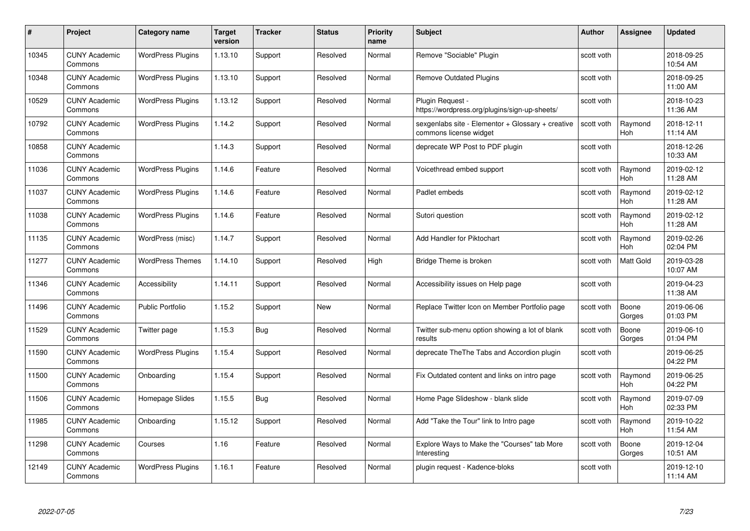| #     | Project                         | <b>Category name</b>     | Target<br>version | <b>Tracker</b> | <b>Status</b> | <b>Priority</b><br>name | <b>Subject</b>                                                              | <b>Author</b> | Assignee              | <b>Updated</b>         |
|-------|---------------------------------|--------------------------|-------------------|----------------|---------------|-------------------------|-----------------------------------------------------------------------------|---------------|-----------------------|------------------------|
| 10345 | <b>CUNY Academic</b><br>Commons | <b>WordPress Plugins</b> | 1.13.10           | Support        | Resolved      | Normal                  | Remove "Sociable" Plugin                                                    | scott voth    |                       | 2018-09-25<br>10:54 AM |
| 10348 | <b>CUNY Academic</b><br>Commons | <b>WordPress Plugins</b> | 1.13.10           | Support        | Resolved      | Normal                  | <b>Remove Outdated Plugins</b>                                              | scott voth    |                       | 2018-09-25<br>11:00 AM |
| 10529 | <b>CUNY Academic</b><br>Commons | <b>WordPress Plugins</b> | 1.13.12           | Support        | Resolved      | Normal                  | Plugin Request -<br>https://wordpress.org/plugins/sign-up-sheets/           | scott voth    |                       | 2018-10-23<br>11:36 AM |
| 10792 | <b>CUNY Academic</b><br>Commons | <b>WordPress Plugins</b> | 1.14.2            | Support        | Resolved      | Normal                  | sexgenlabs site - Elementor + Glossary + creative<br>commons license widget | scott voth    | Raymond<br>Hoh        | 2018-12-11<br>11:14 AM |
| 10858 | <b>CUNY Academic</b><br>Commons |                          | 1.14.3            | Support        | Resolved      | Normal                  | deprecate WP Post to PDF plugin                                             | scott voth    |                       | 2018-12-26<br>10:33 AM |
| 11036 | <b>CUNY Academic</b><br>Commons | <b>WordPress Plugins</b> | 1.14.6            | Feature        | Resolved      | Normal                  | Voicethread embed support                                                   | scott voth    | Raymond<br>Hoh        | 2019-02-12<br>11:28 AM |
| 11037 | <b>CUNY Academic</b><br>Commons | <b>WordPress Plugins</b> | 1.14.6            | Feature        | Resolved      | Normal                  | Padlet embeds                                                               | scott voth    | Raymond<br>Hoh        | 2019-02-12<br>11:28 AM |
| 11038 | <b>CUNY Academic</b><br>Commons | <b>WordPress Plugins</b> | 1.14.6            | Feature        | Resolved      | Normal                  | Sutori question                                                             | scott voth    | Raymond<br>Hoh        | 2019-02-12<br>11:28 AM |
| 11135 | <b>CUNY Academic</b><br>Commons | WordPress (misc)         | 1.14.7            | Support        | Resolved      | Normal                  | Add Handler for Piktochart                                                  | scott voth    | Raymond<br>Hoh        | 2019-02-26<br>02:04 PM |
| 11277 | <b>CUNY Academic</b><br>Commons | <b>WordPress Themes</b>  | 1.14.10           | Support        | Resolved      | High                    | Bridge Theme is broken                                                      | scott voth    | <b>Matt Gold</b>      | 2019-03-28<br>10:07 AM |
| 11346 | CUNY Academic<br>Commons        | Accessibility            | 1.14.11           | Support        | Resolved      | Normal                  | Accessibility issues on Help page                                           | scott voth    |                       | 2019-04-23<br>11:38 AM |
| 11496 | <b>CUNY Academic</b><br>Commons | <b>Public Portfolio</b>  | 1.15.2            | Support        | New           | Normal                  | Replace Twitter Icon on Member Portfolio page                               | scott voth    | Boone<br>Gorges       | 2019-06-06<br>01:03 PM |
| 11529 | <b>CUNY Academic</b><br>Commons | Twitter page             | 1.15.3            | Bug            | Resolved      | Normal                  | Twitter sub-menu option showing a lot of blank<br>results                   | scott voth    | Boone<br>Gorges       | 2019-06-10<br>01:04 PM |
| 11590 | <b>CUNY Academic</b><br>Commons | <b>WordPress Plugins</b> | 1.15.4            | Support        | Resolved      | Normal                  | deprecate The The Tabs and Accordion plugin                                 | scott voth    |                       | 2019-06-25<br>04:22 PM |
| 11500 | <b>CUNY Academic</b><br>Commons | Onboarding               | 1.15.4            | Support        | Resolved      | Normal                  | Fix Outdated content and links on intro page                                | scott voth    | Raymond<br><b>Hoh</b> | 2019-06-25<br>04:22 PM |
| 11506 | <b>CUNY Academic</b><br>Commons | Homepage Slides          | 1.15.5            | <b>Bug</b>     | Resolved      | Normal                  | Home Page Slideshow - blank slide                                           | scott voth    | Raymond<br>Hoh        | 2019-07-09<br>02:33 PM |
| 11985 | <b>CUNY Academic</b><br>Commons | Onboarding               | 1.15.12           | Support        | Resolved      | Normal                  | Add "Take the Tour" link to Intro page                                      | scott voth    | Raymond<br>Hoh        | 2019-10-22<br>11:54 AM |
| 11298 | <b>CUNY Academic</b><br>Commons | Courses                  | 1.16              | Feature        | Resolved      | Normal                  | Explore Ways to Make the "Courses" tab More<br>Interesting                  | scott voth    | Boone<br>Gorges       | 2019-12-04<br>10:51 AM |
| 12149 | CUNY Academic<br>Commons        | <b>WordPress Plugins</b> | 1.16.1            | Feature        | Resolved      | Normal                  | plugin request - Kadence-bloks                                              | scott voth    |                       | 2019-12-10<br>11:14 AM |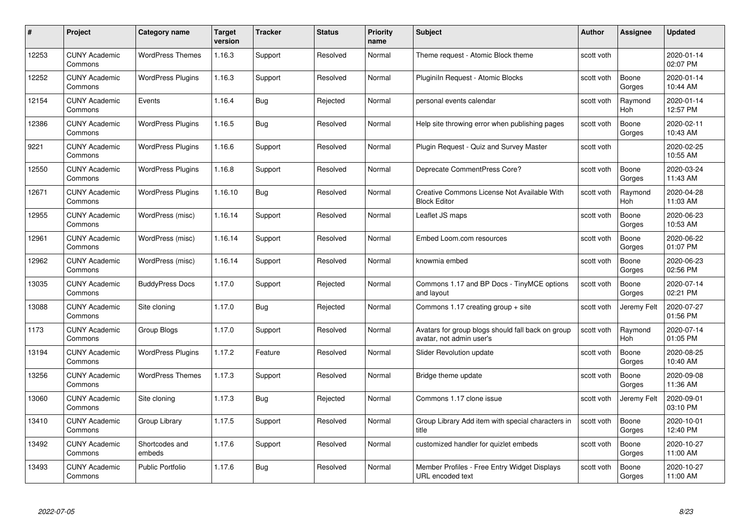|       | Project                         | <b>Category name</b>     | Target<br>version | <b>Tracker</b> | <b>Status</b> | <b>Priority</b><br>name | <b>Subject</b>                                                                | <b>Author</b> | <b>Assignee</b> | <b>Updated</b>         |
|-------|---------------------------------|--------------------------|-------------------|----------------|---------------|-------------------------|-------------------------------------------------------------------------------|---------------|-----------------|------------------------|
| 12253 | <b>CUNY Academic</b><br>Commons | <b>WordPress Themes</b>  | 1.16.3            | Support        | Resolved      | Normal                  | Theme request - Atomic Block theme                                            | scott voth    |                 | 2020-01-14<br>02:07 PM |
| 12252 | <b>CUNY Academic</b><br>Commons | <b>WordPress Plugins</b> | 1.16.3            | Support        | Resolved      | Normal                  | Pluginiln Request - Atomic Blocks                                             | scott voth    | Boone<br>Gorges | 2020-01-14<br>10:44 AM |
| 12154 | <b>CUNY Academic</b><br>Commons | Events                   | 1.16.4            | Bug            | Rejected      | Normal                  | personal events calendar                                                      | scott voth    | Raymond<br>Hoh  | 2020-01-14<br>12:57 PM |
| 12386 | <b>CUNY Academic</b><br>Commons | <b>WordPress Plugins</b> | 1.16.5            | Bug            | Resolved      | Normal                  | Help site throwing error when publishing pages                                | scott voth    | Boone<br>Gorges | 2020-02-11<br>10:43 AM |
| 9221  | <b>CUNY Academic</b><br>Commons | <b>WordPress Plugins</b> | 1.16.6            | Support        | Resolved      | Normal                  | Plugin Request - Quiz and Survey Master                                       | scott voth    |                 | 2020-02-25<br>10:55 AM |
| 12550 | <b>CUNY Academic</b><br>Commons | <b>WordPress Plugins</b> | 1.16.8            | Support        | Resolved      | Normal                  | Deprecate CommentPress Core?                                                  | scott voth    | Boone<br>Gorges | 2020-03-24<br>11:43 AM |
| 12671 | <b>CUNY Academic</b><br>Commons | <b>WordPress Plugins</b> | 1.16.10           | Bug            | Resolved      | Normal                  | Creative Commons License Not Available With<br><b>Block Editor</b>            | scott voth    | Raymond<br>Hoh  | 2020-04-28<br>11:03 AM |
| 12955 | <b>CUNY Academic</b><br>Commons | WordPress (misc)         | 1.16.14           | Support        | Resolved      | Normal                  | Leaflet JS maps                                                               | scott voth    | Boone<br>Gorges | 2020-06-23<br>10:53 AM |
| 12961 | <b>CUNY Academic</b><br>Commons | WordPress (misc)         | 1.16.14           | Support        | Resolved      | Normal                  | Embed Loom.com resources                                                      | scott voth    | Boone<br>Gorges | 2020-06-22<br>01:07 PM |
| 12962 | <b>CUNY Academic</b><br>Commons | WordPress (misc)         | 1.16.14           | Support        | Resolved      | Normal                  | knowmia embed                                                                 | scott voth    | Boone<br>Gorges | 2020-06-23<br>02:56 PM |
| 13035 | CUNY Academic<br>Commons        | <b>BuddyPress Docs</b>   | 1.17.0            | Support        | Rejected      | Normal                  | Commons 1.17 and BP Docs - TinyMCE options<br>and layout                      | scott voth    | Boone<br>Gorges | 2020-07-14<br>02:21 PM |
| 13088 | <b>CUNY Academic</b><br>Commons | Site cloning             | 1.17.0            | <b>Bug</b>     | Rejected      | Normal                  | Commons 1.17 creating group + site                                            | scott voth    | Jeremy Felt     | 2020-07-27<br>01:56 PM |
| 1173  | <b>CUNY Academic</b><br>Commons | Group Blogs              | 1.17.0            | Support        | Resolved      | Normal                  | Avatars for group blogs should fall back on group<br>avatar, not admin user's | scott voth    | Raymond<br>Hoh  | 2020-07-14<br>01:05 PM |
| 13194 | <b>CUNY Academic</b><br>Commons | <b>WordPress Plugins</b> | 1.17.2            | Feature        | Resolved      | Normal                  | Slider Revolution update                                                      | scott voth    | Boone<br>Gorges | 2020-08-25<br>10:40 AM |
| 13256 | <b>CUNY Academic</b><br>Commons | <b>WordPress Themes</b>  | 1.17.3            | Support        | Resolved      | Normal                  | Bridge theme update                                                           | scott voth    | Boone<br>Gorges | 2020-09-08<br>11:36 AM |
| 13060 | <b>CUNY Academic</b><br>Commons | Site cloning             | 1.17.3            | Bug            | Rejected      | Normal                  | Commons 1.17 clone issue                                                      | scott voth    | Jeremy Felt     | 2020-09-01<br>03:10 PM |
| 13410 | <b>CUNY Academic</b><br>Commons | Group Library            | 1.17.5            | Support        | Resolved      | Normal                  | Group Library Add item with special characters in<br>title                    | scott voth    | Boone<br>Gorges | 2020-10-01<br>12:40 PM |
| 13492 | <b>CUNY Academic</b><br>Commons | Shortcodes and<br>embeds | 1.17.6            | Support        | Resolved      | Normal                  | customized handler for quizlet embeds                                         | scott voth    | Boone<br>Gorges | 2020-10-27<br>11:00 AM |
| 13493 | <b>CUNY Academic</b><br>Commons | <b>Public Portfolio</b>  | 1.17.6            | Bug            | Resolved      | Normal                  | Member Profiles - Free Entry Widget Displays<br>URL encoded text              | scott voth    | Boone<br>Gorges | 2020-10-27<br>11:00 AM |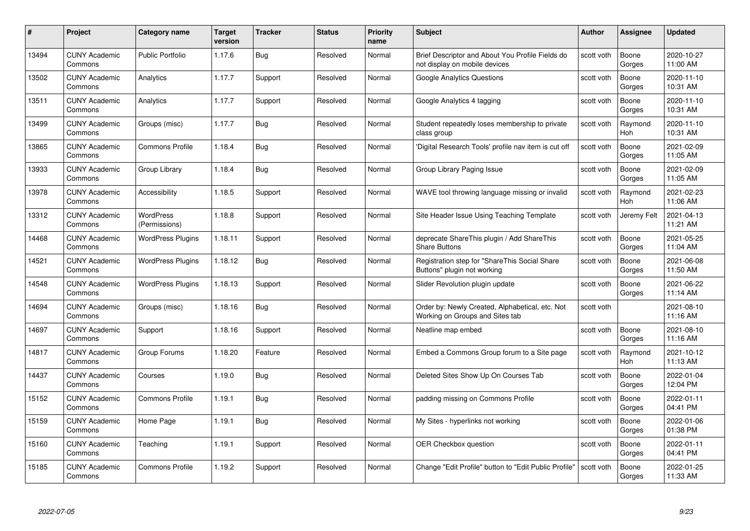| #     | Project                         | <b>Category name</b>              | Target<br>version | <b>Tracker</b> | <b>Status</b> | <b>Priority</b><br>name | <b>Subject</b>                                                                     | Author     | Assignee              | <b>Updated</b>         |
|-------|---------------------------------|-----------------------------------|-------------------|----------------|---------------|-------------------------|------------------------------------------------------------------------------------|------------|-----------------------|------------------------|
| 13494 | <b>CUNY Academic</b><br>Commons | Public Portfolio                  | 1.17.6            | Bug            | Resolved      | Normal                  | Brief Descriptor and About You Profile Fields do<br>not display on mobile devices  | scott voth | Boone<br>Gorges       | 2020-10-27<br>11:00 AM |
| 13502 | <b>CUNY Academic</b><br>Commons | Analytics                         | 1.17.7            | Support        | Resolved      | Normal                  | <b>Google Analytics Questions</b>                                                  | scott voth | Boone<br>Gorges       | 2020-11-10<br>10:31 AM |
| 13511 | <b>CUNY Academic</b><br>Commons | Analytics                         | 1.17.7            | Support        | Resolved      | Normal                  | Google Analytics 4 tagging                                                         | scott voth | Boone<br>Gorges       | 2020-11-10<br>10:31 AM |
| 13499 | <b>CUNY Academic</b><br>Commons | Groups (misc)                     | 1.17.7            | <b>Bug</b>     | Resolved      | Normal                  | Student repeatedly loses membership to private<br>class group                      | scott voth | Raymond<br><b>Hoh</b> | 2020-11-10<br>10:31 AM |
| 13865 | <b>CUNY Academic</b><br>Commons | <b>Commons Profile</b>            | 1.18.4            | Bug            | Resolved      | Normal                  | 'Digital Research Tools' profile nav item is cut off                               | scott voth | Boone<br>Gorges       | 2021-02-09<br>11:05 AM |
| 13933 | <b>CUNY Academic</b><br>Commons | Group Library                     | 1.18.4            | <b>Bug</b>     | Resolved      | Normal                  | Group Library Paging Issue                                                         | scott voth | Boone<br>Gorges       | 2021-02-09<br>11:05 AM |
| 13978 | <b>CUNY Academic</b><br>Commons | Accessibility                     | 1.18.5            | Support        | Resolved      | Normal                  | WAVE tool throwing language missing or invalid                                     | scott voth | Raymond<br><b>Hoh</b> | 2021-02-23<br>11:06 AM |
| 13312 | <b>CUNY Academic</b><br>Commons | <b>WordPress</b><br>(Permissions) | 1.18.8            | Support        | Resolved      | Normal                  | Site Header Issue Using Teaching Template                                          | scott voth | Jeremy Felt           | 2021-04-13<br>11:21 AM |
| 14468 | <b>CUNY Academic</b><br>Commons | <b>WordPress Plugins</b>          | 1.18.11           | Support        | Resolved      | Normal                  | deprecate ShareThis plugin / Add ShareThis<br><b>Share Buttons</b>                 | scott voth | Boone<br>Gorges       | 2021-05-25<br>11:04 AM |
| 14521 | <b>CUNY Academic</b><br>Commons | <b>WordPress Plugins</b>          | 1.18.12           | Bug            | Resolved      | Normal                  | Registration step for "ShareThis Social Share<br>Buttons" plugin not working       | scott voth | Boone<br>Gorges       | 2021-06-08<br>11:50 AM |
| 14548 | <b>CUNY Academic</b><br>Commons | <b>WordPress Plugins</b>          | 1.18.13           | Support        | Resolved      | Normal                  | Slider Revolution plugin update                                                    | scott voth | Boone<br>Gorges       | 2021-06-22<br>11:14 AM |
| 14694 | <b>CUNY Academic</b><br>Commons | Groups (misc)                     | 1.18.16           | Bug            | Resolved      | Normal                  | Order by: Newly Created, Alphabetical, etc. Not<br>Working on Groups and Sites tab | scott voth |                       | 2021-08-10<br>11:16 AM |
| 14697 | <b>CUNY Academic</b><br>Commons | Support                           | 1.18.16           | Support        | Resolved      | Normal                  | Neatline map embed                                                                 | scott voth | Boone<br>Gorges       | 2021-08-10<br>11:16 AM |
| 14817 | <b>CUNY Academic</b><br>Commons | Group Forums                      | 1.18.20           | Feature        | Resolved      | Normal                  | Embed a Commons Group forum to a Site page                                         | scott voth | Raymond<br>Hoh        | 2021-10-12<br>11:13 AM |
| 14437 | <b>CUNY Academic</b><br>Commons | Courses                           | 1.19.0            | Bug            | Resolved      | Normal                  | Deleted Sites Show Up On Courses Tab                                               | scott voth | Boone<br>Gorges       | 2022-01-04<br>12:04 PM |
| 15152 | <b>CUNY Academic</b><br>Commons | <b>Commons Profile</b>            | 1.19.1            | Bug            | Resolved      | Normal                  | padding missing on Commons Profile                                                 | scott voth | Boone<br>Gorges       | 2022-01-11<br>04:41 PM |
| 15159 | <b>CUNY Academic</b><br>Commons | Home Page                         | 1.19.1            | <b>Bug</b>     | Resolved      | Normal                  | My Sites - hyperlinks not working                                                  | scott voth | Boone<br>Gorges       | 2022-01-06<br>01:38 PM |
| 15160 | <b>CUNY Academic</b><br>Commons | Teaching                          | 1.19.1            | Support        | Resolved      | Normal                  | <b>OER Checkbox question</b>                                                       | scott voth | Boone<br>Gorges       | 2022-01-11<br>04:41 PM |
| 15185 | CUNY Academic<br>Commons        | <b>Commons Profile</b>            | 1.19.2            | Support        | Resolved      | Normal                  | Change "Edit Profile" button to "Edit Public Profile"                              | scott voth | Boone<br>Gorges       | 2022-01-25<br>11:33 AM |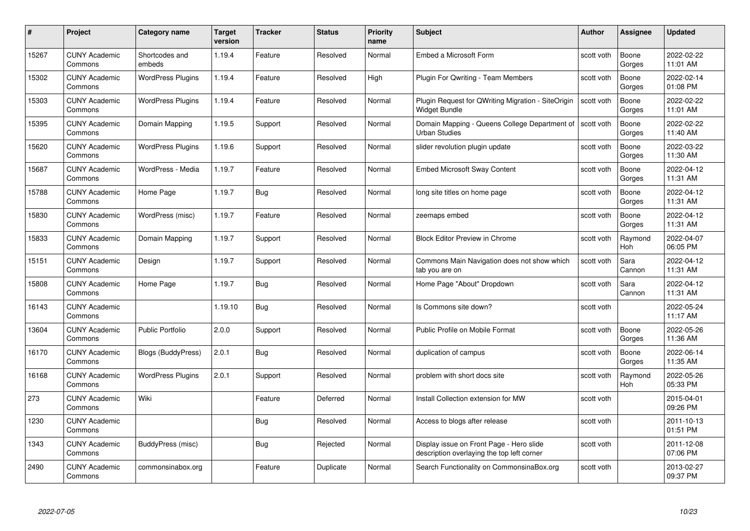| #     | Project                         | <b>Category name</b>     | <b>Target</b><br>version | <b>Tracker</b> | <b>Status</b> | <b>Priority</b><br>name | <b>Subject</b>                                                                         | <b>Author</b> | <b>Assignee</b> | <b>Updated</b>         |
|-------|---------------------------------|--------------------------|--------------------------|----------------|---------------|-------------------------|----------------------------------------------------------------------------------------|---------------|-----------------|------------------------|
| 15267 | <b>CUNY Academic</b><br>Commons | Shortcodes and<br>embeds | 1.19.4                   | Feature        | Resolved      | Normal                  | Embed a Microsoft Form                                                                 | scott voth    | Boone<br>Gorges | 2022-02-22<br>11:01 AM |
| 15302 | <b>CUNY Academic</b><br>Commons | <b>WordPress Plugins</b> | 1.19.4                   | Feature        | Resolved      | High                    | Plugin For Qwriting - Team Members                                                     | scott voth    | Boone<br>Gorges | 2022-02-14<br>01:08 PM |
| 15303 | <b>CUNY Academic</b><br>Commons | <b>WordPress Plugins</b> | 1.19.4                   | Feature        | Resolved      | Normal                  | Plugin Request for QWriting Migration - SiteOrigin<br>Widget Bundle                    | scott voth    | Boone<br>Gorges | 2022-02-22<br>11:01 AM |
| 15395 | <b>CUNY Academic</b><br>Commons | Domain Mapping           | 1.19.5                   | Support        | Resolved      | Normal                  | Domain Mapping - Queens College Department of<br><b>Urban Studies</b>                  | scott voth    | Boone<br>Gorges | 2022-02-22<br>11:40 AM |
| 15620 | <b>CUNY Academic</b><br>Commons | <b>WordPress Plugins</b> | 1.19.6                   | Support        | Resolved      | Normal                  | slider revolution plugin update                                                        | scott voth    | Boone<br>Gorges | 2022-03-22<br>11:30 AM |
| 15687 | <b>CUNY Academic</b><br>Commons | WordPress - Media        | 1.19.7                   | Feature        | Resolved      | Normal                  | <b>Embed Microsoft Sway Content</b>                                                    | scott voth    | Boone<br>Gorges | 2022-04-12<br>11:31 AM |
| 15788 | <b>CUNY Academic</b><br>Commons | Home Page                | 1.19.7                   | Bug            | Resolved      | Normal                  | long site titles on home page                                                          | scott voth    | Boone<br>Gorges | 2022-04-12<br>11:31 AM |
| 15830 | <b>CUNY Academic</b><br>Commons | WordPress (misc)         | 1.19.7                   | Feature        | Resolved      | Normal                  | zeemaps embed                                                                          | scott voth    | Boone<br>Gorges | 2022-04-12<br>11:31 AM |
| 15833 | <b>CUNY Academic</b><br>Commons | Domain Mapping           | 1.19.7                   | Support        | Resolved      | Normal                  | <b>Block Editor Preview in Chrome</b>                                                  | scott voth    | Raymond<br>Hoh  | 2022-04-07<br>06:05 PM |
| 15151 | <b>CUNY Academic</b><br>Commons | Design                   | 1.19.7                   | Support        | Resolved      | Normal                  | Commons Main Navigation does not show which<br>tab you are on                          | scott voth    | Sara<br>Cannon  | 2022-04-12<br>11:31 AM |
| 15808 | CUNY Academic<br>Commons        | Home Page                | 1.19.7                   | <b>Bug</b>     | Resolved      | Normal                  | Home Page "About" Dropdown                                                             | scott voth    | Sara<br>Cannon  | 2022-04-12<br>11:31 AM |
| 16143 | <b>CUNY Academic</b><br>Commons |                          | 1.19.10                  | <b>Bug</b>     | Resolved      | Normal                  | Is Commons site down?                                                                  | scott voth    |                 | 2022-05-24<br>11:17 AM |
| 13604 | <b>CUNY Academic</b><br>Commons | <b>Public Portfolio</b>  | 2.0.0                    | Support        | Resolved      | Normal                  | Public Profile on Mobile Format                                                        | scott voth    | Boone<br>Gorges | 2022-05-26<br>11:36 AM |
| 16170 | <b>CUNY Academic</b><br>Commons | Blogs (BuddyPress)       | 2.0.1                    | Bug            | Resolved      | Normal                  | duplication of campus                                                                  | scott voth    | Boone<br>Gorges | 2022-06-14<br>11:35 AM |
| 16168 | <b>CUNY Academic</b><br>Commons | <b>WordPress Plugins</b> | 2.0.1                    | Support        | Resolved      | Normal                  | problem with short docs site                                                           | scott voth    | Raymond<br>Hoh  | 2022-05-26<br>05:33 PM |
| 273   | <b>CUNY Academic</b><br>Commons | Wiki                     |                          | Feature        | Deferred      | Normal                  | Install Collection extension for MW                                                    | scott voth    |                 | 2015-04-01<br>09:26 PM |
| 1230  | <b>CUNY Academic</b><br>Commons |                          |                          | Bug            | Resolved      | Normal                  | Access to blogs after release                                                          | scott voth    |                 | 2011-10-13<br>01:51 PM |
| 1343  | <b>CUNY Academic</b><br>Commons | BuddyPress (misc)        |                          | <b>Bug</b>     | Rejected      | Normal                  | Display issue on Front Page - Hero slide<br>description overlaying the top left corner | scott voth    |                 | 2011-12-08<br>07:06 PM |
| 2490  | CUNY Academic<br>Commons        | commonsinabox.org        |                          | Feature        | Duplicate     | Normal                  | Search Functionality on CommonsinaBox.org                                              | scott voth    |                 | 2013-02-27<br>09:37 PM |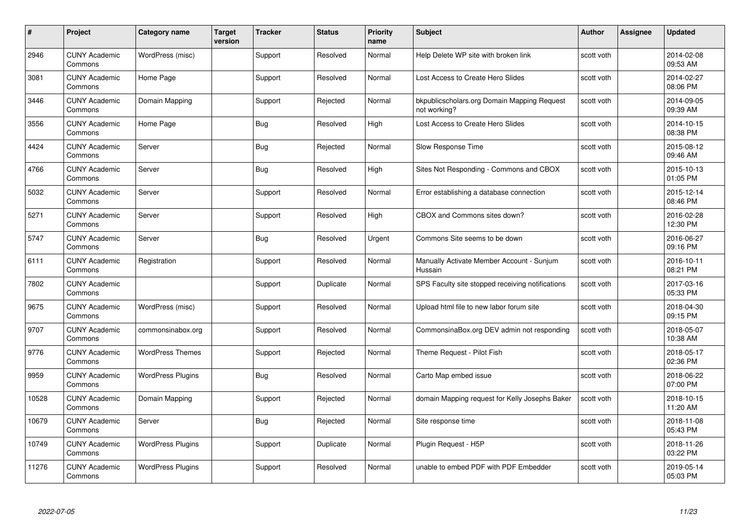| #     | Project                         | <b>Category name</b>     | Target<br>version | <b>Tracker</b> | <b>Status</b> | <b>Priority</b><br>name | <b>Subject</b>                                              | <b>Author</b> | <b>Assignee</b> | <b>Updated</b>         |
|-------|---------------------------------|--------------------------|-------------------|----------------|---------------|-------------------------|-------------------------------------------------------------|---------------|-----------------|------------------------|
| 2946  | <b>CUNY Academic</b><br>Commons | WordPress (misc)         |                   | Support        | Resolved      | Normal                  | Help Delete WP site with broken link                        | scott voth    |                 | 2014-02-08<br>09:53 AM |
| 3081  | <b>CUNY Academic</b><br>Commons | Home Page                |                   | Support        | Resolved      | Normal                  | Lost Access to Create Hero Slides                           | scott voth    |                 | 2014-02-27<br>08:06 PM |
| 3446  | <b>CUNY Academic</b><br>Commons | Domain Mapping           |                   | Support        | Rejected      | Normal                  | bkpublicscholars.org Domain Mapping Request<br>not working? | scott voth    |                 | 2014-09-05<br>09:39 AM |
| 3556  | <b>CUNY Academic</b><br>Commons | Home Page                |                   | Bug            | Resolved      | High                    | Lost Access to Create Hero Slides                           | scott voth    |                 | 2014-10-15<br>08:38 PM |
| 4424  | <b>CUNY Academic</b><br>Commons | Server                   |                   | <b>Bug</b>     | Rejected      | Normal                  | Slow Response Time                                          | scott voth    |                 | 2015-08-12<br>09:46 AM |
| 4766  | <b>CUNY Academic</b><br>Commons | Server                   |                   | Bug            | Resolved      | High                    | Sites Not Responding - Commons and CBOX                     | scott voth    |                 | 2015-10-13<br>01:05 PM |
| 5032  | <b>CUNY Academic</b><br>Commons | Server                   |                   | Support        | Resolved      | Normal                  | Error establishing a database connection                    | scott voth    |                 | 2015-12-14<br>08:46 PM |
| 5271  | <b>CUNY Academic</b><br>Commons | Server                   |                   | Support        | Resolved      | High                    | CBOX and Commons sites down?                                | scott voth    |                 | 2016-02-28<br>12:30 PM |
| 5747  | <b>CUNY Academic</b><br>Commons | Server                   |                   | <b>Bug</b>     | Resolved      | Urgent                  | Commons Site seems to be down                               | scott voth    |                 | 2016-06-27<br>09:16 PM |
| 6111  | <b>CUNY Academic</b><br>Commons | Registration             |                   | Support        | Resolved      | Normal                  | Manually Activate Member Account - Sunjum<br>Hussain        | scott voth    |                 | 2016-10-11<br>08:21 PM |
| 7802  | CUNY Academic<br>Commons        |                          |                   | Support        | Duplicate     | Normal                  | SPS Faculty site stopped receiving notifications            | scott voth    |                 | 2017-03-16<br>05:33 PM |
| 9675  | <b>CUNY Academic</b><br>Commons | WordPress (misc)         |                   | Support        | Resolved      | Normal                  | Upload html file to new labor forum site                    | scott voth    |                 | 2018-04-30<br>09:15 PM |
| 9707  | <b>CUNY Academic</b><br>Commons | commonsinabox.org        |                   | Support        | Resolved      | Normal                  | CommonsinaBox.org DEV admin not responding                  | scott voth    |                 | 2018-05-07<br>10:38 AM |
| 9776  | <b>CUNY Academic</b><br>Commons | <b>WordPress Themes</b>  |                   | Support        | Rejected      | Normal                  | Theme Request - Pilot Fish                                  | scott voth    |                 | 2018-05-17<br>02:36 PM |
| 9959  | <b>CUNY Academic</b><br>Commons | <b>WordPress Plugins</b> |                   | Bug            | Resolved      | Normal                  | Carto Map embed issue                                       | scott voth    |                 | 2018-06-22<br>07:00 PM |
| 10528 | <b>CUNY Academic</b><br>Commons | Domain Mapping           |                   | Support        | Rejected      | Normal                  | domain Mapping request for Kelly Josephs Baker              | scott voth    |                 | 2018-10-15<br>11:20 AM |
| 10679 | <b>CUNY Academic</b><br>Commons | Server                   |                   | Bug            | Rejected      | Normal                  | Site response time                                          | scott voth    |                 | 2018-11-08<br>05:43 PM |
| 10749 | <b>CUNY Academic</b><br>Commons | <b>WordPress Plugins</b> |                   | Support        | Duplicate     | Normal                  | Plugin Request - H5P                                        | scott voth    |                 | 2018-11-26<br>03:22 PM |
| 11276 | CUNY Academic<br>Commons        | <b>WordPress Plugins</b> |                   | Support        | Resolved      | Normal                  | unable to embed PDF with PDF Embedder                       | scott voth    |                 | 2019-05-14<br>05:03 PM |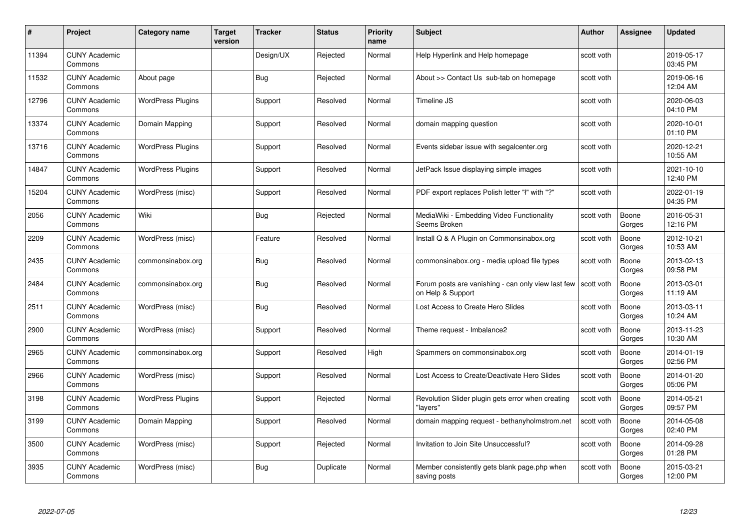| #     | Project                         | <b>Category name</b>     | Target<br>version | <b>Tracker</b> | <b>Status</b> | <b>Priority</b><br>name | <b>Subject</b>                                                          | <b>Author</b> | <b>Assignee</b> | <b>Updated</b>         |
|-------|---------------------------------|--------------------------|-------------------|----------------|---------------|-------------------------|-------------------------------------------------------------------------|---------------|-----------------|------------------------|
| 11394 | <b>CUNY Academic</b><br>Commons |                          |                   | Design/UX      | Rejected      | Normal                  | Help Hyperlink and Help homepage                                        | scott voth    |                 | 2019-05-17<br>03:45 PM |
| 11532 | <b>CUNY Academic</b><br>Commons | About page               |                   | <b>Bug</b>     | Rejected      | Normal                  | About >> Contact Us sub-tab on homepage                                 | scott voth    |                 | 2019-06-16<br>12:04 AM |
| 12796 | <b>CUNY Academic</b><br>Commons | <b>WordPress Plugins</b> |                   | Support        | Resolved      | Normal                  | Timeline JS                                                             | scott voth    |                 | 2020-06-03<br>04:10 PM |
| 13374 | <b>CUNY Academic</b><br>Commons | Domain Mapping           |                   | Support        | Resolved      | Normal                  | domain mapping question                                                 | scott voth    |                 | 2020-10-01<br>01:10 PM |
| 13716 | <b>CUNY Academic</b><br>Commons | <b>WordPress Plugins</b> |                   | Support        | Resolved      | Normal                  | Events sidebar issue with segalcenter.org                               | scott voth    |                 | 2020-12-21<br>10:55 AM |
| 14847 | <b>CUNY Academic</b><br>Commons | <b>WordPress Plugins</b> |                   | Support        | Resolved      | Normal                  | JetPack Issue displaying simple images                                  | scott voth    |                 | 2021-10-10<br>12:40 PM |
| 15204 | <b>CUNY Academic</b><br>Commons | WordPress (misc)         |                   | Support        | Resolved      | Normal                  | PDF export replaces Polish letter "I" with "?"                          | scott voth    |                 | 2022-01-19<br>04:35 PM |
| 2056  | <b>CUNY Academic</b><br>Commons | Wiki                     |                   | Bug            | Rejected      | Normal                  | MediaWiki - Embedding Video Functionality<br>Seems Broken               | scott voth    | Boone<br>Gorges | 2016-05-31<br>12:16 PM |
| 2209  | <b>CUNY Academic</b><br>Commons | WordPress (misc)         |                   | Feature        | Resolved      | Normal                  | Install Q & A Plugin on Commonsinabox.org                               | scott voth    | Boone<br>Gorges | 2012-10-21<br>10:53 AM |
| 2435  | <b>CUNY Academic</b><br>Commons | commonsinabox.org        |                   | <b>Bug</b>     | Resolved      | Normal                  | commonsinabox.org - media upload file types                             | scott voth    | Boone<br>Gorges | 2013-02-13<br>09:58 PM |
| 2484  | CUNY Academic<br>Commons        | commonsinabox.org        |                   | Bug            | Resolved      | Normal                  | Forum posts are vanishing - can only view last few<br>on Help & Support | scott voth    | Boone<br>Gorges | 2013-03-01<br>11:19 AM |
| 2511  | <b>CUNY Academic</b><br>Commons | WordPress (misc)         |                   | <b>Bug</b>     | Resolved      | Normal                  | Lost Access to Create Hero Slides                                       | scott voth    | Boone<br>Gorges | 2013-03-11<br>10:24 AM |
| 2900  | <b>CUNY Academic</b><br>Commons | WordPress (misc)         |                   | Support        | Resolved      | Normal                  | Theme request - Imbalance2                                              | scott voth    | Boone<br>Gorges | 2013-11-23<br>10:30 AM |
| 2965  | <b>CUNY Academic</b><br>Commons | commonsinabox.org        |                   | Support        | Resolved      | High                    | Spammers on commonsinabox.org                                           | scott voth    | Boone<br>Gorges | 2014-01-19<br>02:56 PM |
| 2966  | <b>CUNY Academic</b><br>Commons | WordPress (misc)         |                   | Support        | Resolved      | Normal                  | Lost Access to Create/Deactivate Hero Slides                            | scott voth    | Boone<br>Gorges | 2014-01-20<br>05:06 PM |
| 3198  | <b>CUNY Academic</b><br>Commons | <b>WordPress Plugins</b> |                   | Support        | Rejected      | Normal                  | Revolution Slider plugin gets error when creating<br>"lavers"           | scott voth    | Boone<br>Gorges | 2014-05-21<br>09:57 PM |
| 3199  | <b>CUNY Academic</b><br>Commons | Domain Mapping           |                   | Support        | Resolved      | Normal                  | domain mapping request - bethanyholmstrom.net                           | scott voth    | Boone<br>Gorges | 2014-05-08<br>02:40 PM |
| 3500  | <b>CUNY Academic</b><br>Commons | WordPress (misc)         |                   | Support        | Rejected      | Normal                  | Invitation to Join Site Unsuccessful?                                   | scott voth    | Boone<br>Gorges | 2014-09-28<br>01:28 PM |
| 3935  | CUNY Academic<br>Commons        | WordPress (misc)         |                   | <b>Bug</b>     | Duplicate     | Normal                  | Member consistently gets blank page.php when<br>saving posts            | scott voth    | Boone<br>Gorges | 2015-03-21<br>12:00 PM |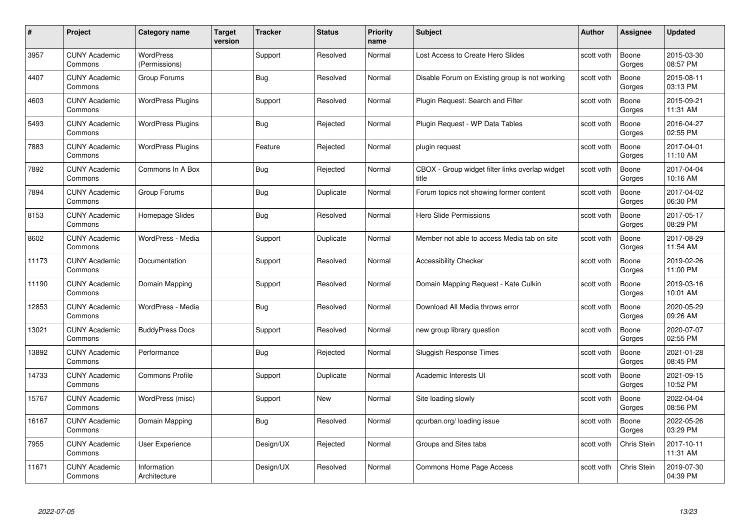| #     | Project                         | <b>Category name</b>              | <b>Target</b><br>version | <b>Tracker</b> | <b>Status</b> | <b>Priority</b><br>name | <b>Subject</b>                                           | <b>Author</b> | Assignee        | <b>Updated</b>         |
|-------|---------------------------------|-----------------------------------|--------------------------|----------------|---------------|-------------------------|----------------------------------------------------------|---------------|-----------------|------------------------|
| 3957  | <b>CUNY Academic</b><br>Commons | <b>WordPress</b><br>(Permissions) |                          | Support        | Resolved      | Normal                  | Lost Access to Create Hero Slides                        | scott voth    | Boone<br>Gorges | 2015-03-30<br>08:57 PM |
| 4407  | <b>CUNY Academic</b><br>Commons | Group Forums                      |                          | <b>Bug</b>     | Resolved      | Normal                  | Disable Forum on Existing group is not working           | scott voth    | Boone<br>Gorges | 2015-08-11<br>03:13 PM |
| 4603  | <b>CUNY Academic</b><br>Commons | <b>WordPress Plugins</b>          |                          | Support        | Resolved      | Normal                  | Plugin Request: Search and Filter                        | scott voth    | Boone<br>Gorges | 2015-09-21<br>11:31 AM |
| 5493  | <b>CUNY Academic</b><br>Commons | <b>WordPress Plugins</b>          |                          | Bug            | Rejected      | Normal                  | Plugin Request - WP Data Tables                          | scott voth    | Boone<br>Gorges | 2016-04-27<br>02:55 PM |
| 7883  | <b>CUNY Academic</b><br>Commons | <b>WordPress Plugins</b>          |                          | Feature        | Rejected      | Normal                  | plugin request                                           | scott voth    | Boone<br>Gorges | 2017-04-01<br>11:10 AM |
| 7892  | <b>CUNY Academic</b><br>Commons | Commons In A Box                  |                          | <b>Bug</b>     | Rejected      | Normal                  | CBOX - Group widget filter links overlap widget<br>title | scott voth    | Boone<br>Gorges | 2017-04-04<br>10:16 AM |
| 7894  | <b>CUNY Academic</b><br>Commons | Group Forums                      |                          | <b>Bug</b>     | Duplicate     | Normal                  | Forum topics not showing former content                  | scott voth    | Boone<br>Gorges | 2017-04-02<br>06:30 PM |
| 8153  | <b>CUNY Academic</b><br>Commons | Homepage Slides                   |                          | <b>Bug</b>     | Resolved      | Normal                  | Hero Slide Permissions                                   | scott voth    | Boone<br>Gorges | 2017-05-17<br>08:29 PM |
| 8602  | <b>CUNY Academic</b><br>Commons | WordPress - Media                 |                          | Support        | Duplicate     | Normal                  | Member not able to access Media tab on site              | scott voth    | Boone<br>Gorges | 2017-08-29<br>11:54 AM |
| 11173 | <b>CUNY Academic</b><br>Commons | Documentation                     |                          | Support        | Resolved      | Normal                  | <b>Accessibility Checker</b>                             | scott voth    | Boone<br>Gorges | 2019-02-26<br>11:00 PM |
| 11190 | <b>CUNY Academic</b><br>Commons | Domain Mapping                    |                          | Support        | Resolved      | Normal                  | Domain Mapping Request - Kate Culkin                     | scott voth    | Boone<br>Gorges | 2019-03-16<br>10:01 AM |
| 12853 | <b>CUNY Academic</b><br>Commons | WordPress - Media                 |                          | Bug            | Resolved      | Normal                  | Download All Media throws error                          | scott voth    | Boone<br>Gorges | 2020-05-29<br>09:26 AM |
| 13021 | <b>CUNY Academic</b><br>Commons | <b>BuddyPress Docs</b>            |                          | Support        | Resolved      | Normal                  | new group library question                               | scott voth    | Boone<br>Gorges | 2020-07-07<br>02:55 PM |
| 13892 | <b>CUNY Academic</b><br>Commons | Performance                       |                          | Bug            | Rejected      | Normal                  | Sluggish Response Times                                  | scott voth    | Boone<br>Gorges | 2021-01-28<br>08:45 PM |
| 14733 | <b>CUNY Academic</b><br>Commons | <b>Commons Profile</b>            |                          | Support        | Duplicate     | Normal                  | Academic Interests UI                                    | scott voth    | Boone<br>Gorges | 2021-09-15<br>10:52 PM |
| 15767 | <b>CUNY Academic</b><br>Commons | WordPress (misc)                  |                          | Support        | New           | Normal                  | Site loading slowly                                      | scott voth    | Boone<br>Gorges | 2022-04-04<br>08:56 PM |
| 16167 | <b>CUNY Academic</b><br>Commons | Domain Mapping                    |                          | Bug            | Resolved      | Normal                  | gcurban.org/loading issue                                | scott voth    | Boone<br>Gorges | 2022-05-26<br>03:29 PM |
| 7955  | <b>CUNY Academic</b><br>Commons | User Experience                   |                          | Design/UX      | Rejected      | Normal                  | Groups and Sites tabs                                    | scott voth    | Chris Stein     | 2017-10-11<br>11:31 AM |
| 11671 | <b>CUNY Academic</b><br>Commons | Information<br>Architecture       |                          | Design/UX      | Resolved      | Normal                  | Commons Home Page Access                                 | scott voth    | Chris Stein     | 2019-07-30<br>04:39 PM |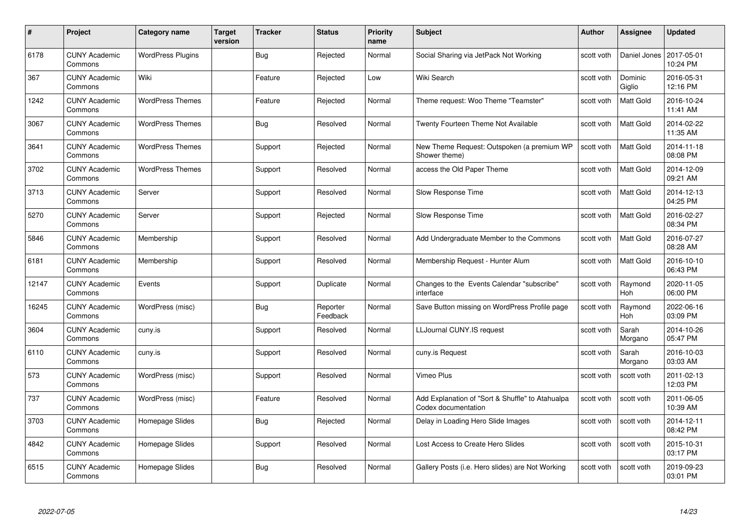| #     | Project                         | <b>Category name</b>     | <b>Target</b><br>version | <b>Tracker</b> | <b>Status</b>        | <b>Priority</b><br>name | <b>Subject</b>                                                          | <b>Author</b> | Assignee              | <b>Updated</b>         |
|-------|---------------------------------|--------------------------|--------------------------|----------------|----------------------|-------------------------|-------------------------------------------------------------------------|---------------|-----------------------|------------------------|
| 6178  | <b>CUNY Academic</b><br>Commons | <b>WordPress Plugins</b> |                          | <b>Bug</b>     | Rejected             | Normal                  | Social Sharing via JetPack Not Working                                  | scott voth    | Daniel Jones          | 2017-05-01<br>10:24 PM |
| 367   | <b>CUNY Academic</b><br>Commons | Wiki                     |                          | Feature        | Rejected             | Low                     | Wiki Search                                                             | scott voth    | Dominic<br>Giglio     | 2016-05-31<br>12:16 PM |
| 1242  | <b>CUNY Academic</b><br>Commons | <b>WordPress Themes</b>  |                          | Feature        | Rejected             | Normal                  | Theme request: Woo Theme "Teamster"                                     | scott voth    | Matt Gold             | 2016-10-24<br>11:41 AM |
| 3067  | <b>CUNY Academic</b><br>Commons | <b>WordPress Themes</b>  |                          | <b>Bug</b>     | Resolved             | Normal                  | Twenty Fourteen Theme Not Available                                     | scott voth    | Matt Gold             | 2014-02-22<br>11:35 AM |
| 3641  | <b>CUNY Academic</b><br>Commons | <b>WordPress Themes</b>  |                          | Support        | Rejected             | Normal                  | New Theme Request: Outspoken (a premium WP<br>Shower theme)             | scott voth    | <b>Matt Gold</b>      | 2014-11-18<br>08:08 PM |
| 3702  | <b>CUNY Academic</b><br>Commons | <b>WordPress Themes</b>  |                          | Support        | Resolved             | Normal                  | access the Old Paper Theme                                              | scott voth    | <b>Matt Gold</b>      | 2014-12-09<br>09:21 AM |
| 3713  | <b>CUNY Academic</b><br>Commons | Server                   |                          | Support        | Resolved             | Normal                  | Slow Response Time                                                      | scott voth    | Matt Gold             | 2014-12-13<br>04:25 PM |
| 5270  | <b>CUNY Academic</b><br>Commons | Server                   |                          | Support        | Rejected             | Normal                  | Slow Response Time                                                      | scott voth    | Matt Gold             | 2016-02-27<br>08:34 PM |
| 5846  | <b>CUNY Academic</b><br>Commons | Membership               |                          | Support        | Resolved             | Normal                  | Add Undergraduate Member to the Commons                                 | scott voth    | <b>Matt Gold</b>      | 2016-07-27<br>08:28 AM |
| 6181  | <b>CUNY Academic</b><br>Commons | Membership               |                          | Support        | Resolved             | Normal                  | Membership Request - Hunter Alum                                        | scott voth    | Matt Gold             | 2016-10-10<br>06:43 PM |
| 12147 | <b>CUNY Academic</b><br>Commons | Events                   |                          | Support        | Duplicate            | Normal                  | Changes to the Events Calendar "subscribe"<br>interface                 | scott voth    | Raymond<br>Hoh        | 2020-11-05<br>06:00 PM |
| 16245 | <b>CUNY Academic</b><br>Commons | WordPress (misc)         |                          | Bug            | Reporter<br>Feedback | Normal                  | Save Button missing on WordPress Profile page                           | scott voth    | Raymond<br><b>Hoh</b> | 2022-06-16<br>03:09 PM |
| 3604  | <b>CUNY Academic</b><br>Commons | cuny.is                  |                          | Support        | Resolved             | Normal                  | LLJournal CUNY.IS request                                               | scott voth    | Sarah<br>Morgano      | 2014-10-26<br>05:47 PM |
| 6110  | <b>CUNY Academic</b><br>Commons | cuny.is                  |                          | Support        | Resolved             | Normal                  | cuny.is Request                                                         | scott voth    | Sarah<br>Morgano      | 2016-10-03<br>03:03 AM |
| 573   | <b>CUNY Academic</b><br>Commons | WordPress (misc)         |                          | Support        | Resolved             | Normal                  | Vimeo Plus                                                              | scott voth    | scott voth            | 2011-02-13<br>12:03 PM |
| 737   | <b>CUNY Academic</b><br>Commons | WordPress (misc)         |                          | Feature        | Resolved             | Normal                  | Add Explanation of "Sort & Shuffle" to Atahualpa<br>Codex documentation | scott voth    | scott voth            | 2011-06-05<br>10:39 AM |
| 3703  | <b>CUNY Academic</b><br>Commons | Homepage Slides          |                          | Bug            | Rejected             | Normal                  | Delay in Loading Hero Slide Images                                      | scott voth    | scott voth            | 2014-12-11<br>08:42 PM |
| 4842  | <b>CUNY Academic</b><br>Commons | Homepage Slides          |                          | Support        | Resolved             | Normal                  | Lost Access to Create Hero Slides                                       | scott voth    | scott voth            | 2015-10-31<br>03:17 PM |
| 6515  | <b>CUNY Academic</b><br>Commons | Homepage Slides          |                          | <b>Bug</b>     | Resolved             | Normal                  | Gallery Posts (i.e. Hero slides) are Not Working                        | scott voth    | scott voth            | 2019-09-23<br>03:01 PM |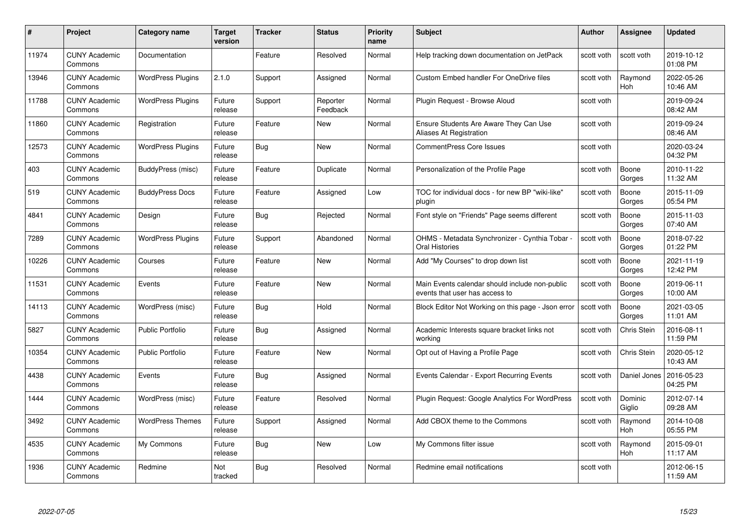| #     | Project                         | <b>Category name</b>     | Target<br>version | <b>Tracker</b> | <b>Status</b>        | <b>Priority</b><br>name | <b>Subject</b>                                                                   | Author     | <b>Assignee</b>       | <b>Updated</b>         |
|-------|---------------------------------|--------------------------|-------------------|----------------|----------------------|-------------------------|----------------------------------------------------------------------------------|------------|-----------------------|------------------------|
| 11974 | <b>CUNY Academic</b><br>Commons | Documentation            |                   | Feature        | Resolved             | Normal                  | Help tracking down documentation on JetPack                                      | scott voth | scott voth            | 2019-10-12<br>01:08 PM |
| 13946 | <b>CUNY Academic</b><br>Commons | <b>WordPress Plugins</b> | 2.1.0             | Support        | Assigned             | Normal                  | <b>Custom Embed handler For OneDrive files</b>                                   | scott voth | Raymond<br><b>Hoh</b> | 2022-05-26<br>10:46 AM |
| 11788 | <b>CUNY Academic</b><br>Commons | <b>WordPress Plugins</b> | Future<br>release | Support        | Reporter<br>Feedback | Normal                  | Plugin Request - Browse Aloud                                                    | scott voth |                       | 2019-09-24<br>08:42 AM |
| 11860 | <b>CUNY Academic</b><br>Commons | Registration             | Future<br>release | Feature        | New                  | Normal                  | Ensure Students Are Aware They Can Use<br>Aliases At Registration                | scott voth |                       | 2019-09-24<br>08:46 AM |
| 12573 | <b>CUNY Academic</b><br>Commons | <b>WordPress Plugins</b> | Future<br>release | <b>Bug</b>     | New                  | Normal                  | <b>CommentPress Core Issues</b>                                                  | scott voth |                       | 2020-03-24<br>04:32 PM |
| 403   | <b>CUNY Academic</b><br>Commons | BuddyPress (misc)        | Future<br>release | Feature        | Duplicate            | Normal                  | Personalization of the Profile Page                                              | scott voth | Boone<br>Gorges       | 2010-11-22<br>11:32 AM |
| 519   | <b>CUNY Academic</b><br>Commons | <b>BuddyPress Docs</b>   | Future<br>release | Feature        | Assigned             | Low                     | TOC for individual docs - for new BP "wiki-like"<br>plugin                       | scott voth | Boone<br>Gorges       | 2015-11-09<br>05:54 PM |
| 4841  | <b>CUNY Academic</b><br>Commons | Design                   | Future<br>release | Bug            | Rejected             | Normal                  | Font style on "Friends" Page seems different                                     | scott voth | Boone<br>Gorges       | 2015-11-03<br>07:40 AM |
| 7289  | <b>CUNY Academic</b><br>Commons | <b>WordPress Plugins</b> | Future<br>release | Support        | Abandoned            | Normal                  | OHMS - Metadata Synchronizer - Cynthia Tobar ·<br><b>Oral Histories</b>          | scott voth | Boone<br>Gorges       | 2018-07-22<br>01:22 PM |
| 10226 | <b>CUNY Academic</b><br>Commons | Courses                  | Future<br>release | Feature        | New                  | Normal                  | Add "My Courses" to drop down list                                               | scott voth | Boone<br>Gorges       | 2021-11-19<br>12:42 PM |
| 11531 | <b>CUNY Academic</b><br>Commons | Events                   | Future<br>release | Feature        | New                  | Normal                  | Main Events calendar should include non-public<br>events that user has access to | scott voth | Boone<br>Gorges       | 2019-06-11<br>10:00 AM |
| 14113 | <b>CUNY Academic</b><br>Commons | WordPress (misc)         | Future<br>release | <b>Bug</b>     | Hold                 | Normal                  | Block Editor Not Working on this page - Json error                               | scott voth | Boone<br>Gorges       | 2021-03-05<br>11:01 AM |
| 5827  | <b>CUNY Academic</b><br>Commons | <b>Public Portfolio</b>  | Future<br>release | <b>Bug</b>     | Assigned             | Normal                  | Academic Interests square bracket links not<br>working                           | scott voth | Chris Stein           | 2016-08-11<br>11:59 PM |
| 10354 | <b>CUNY Academic</b><br>Commons | <b>Public Portfolio</b>  | Future<br>release | Feature        | New                  | Normal                  | Opt out of Having a Profile Page                                                 | scott voth | Chris Stein           | 2020-05-12<br>10:43 AM |
| 4438  | <b>CUNY Academic</b><br>Commons | Events                   | Future<br>release | Bug            | Assigned             | Normal                  | Events Calendar - Export Recurring Events                                        | scott voth | Daniel Jones          | 2016-05-23<br>04:25 PM |
| 1444  | <b>CUNY Academic</b><br>Commons | WordPress (misc)         | Future<br>release | Feature        | Resolved             | Normal                  | Plugin Request: Google Analytics For WordPress                                   | scott voth | Dominic<br>Giglio     | 2012-07-14<br>09:28 AM |
| 3492  | <b>CUNY Academic</b><br>Commons | <b>WordPress Themes</b>  | Future<br>release | Support        | Assigned             | Normal                  | Add CBOX theme to the Commons                                                    | scott voth | Raymond<br><b>Hoh</b> | 2014-10-08<br>05:55 PM |
| 4535  | <b>CUNY Academic</b><br>Commons | My Commons               | Future<br>release | <b>Bug</b>     | New                  | Low                     | My Commons filter issue                                                          | scott voth | Raymond<br>Hoh        | 2015-09-01<br>11:17 AM |
| 1936  | <b>CUNY Academic</b><br>Commons | Redmine                  | Not<br>tracked    | <b>Bug</b>     | Resolved             | Normal                  | Redmine email notifications                                                      | scott voth |                       | 2012-06-15<br>11:59 AM |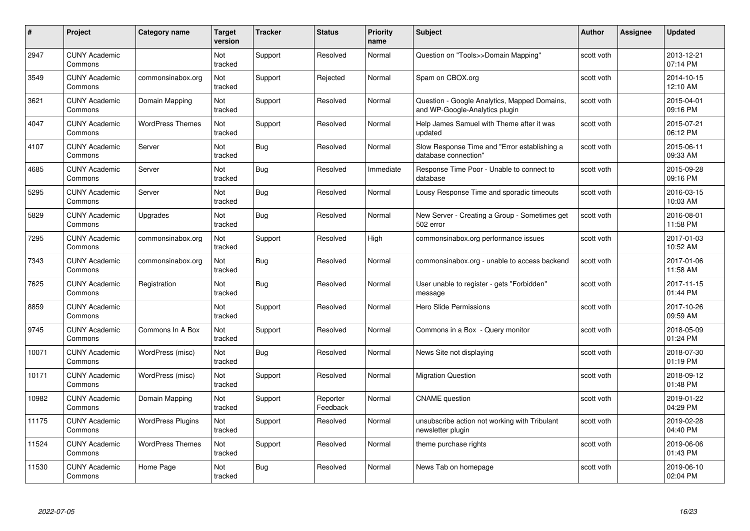| #     | Project                         | Category name            | <b>Target</b><br>version | <b>Tracker</b> | <b>Status</b>        | <b>Priority</b><br>name | <b>Subject</b>                                                                 | <b>Author</b> | <b>Assignee</b> | <b>Updated</b>         |
|-------|---------------------------------|--------------------------|--------------------------|----------------|----------------------|-------------------------|--------------------------------------------------------------------------------|---------------|-----------------|------------------------|
| 2947  | <b>CUNY Academic</b><br>Commons |                          | Not<br>tracked           | Support        | Resolved             | Normal                  | Question on "Tools>>Domain Mapping"                                            | scott voth    |                 | 2013-12-21<br>07:14 PM |
| 3549  | <b>CUNY Academic</b><br>Commons | commonsinabox.org        | Not<br>tracked           | Support        | Rejected             | Normal                  | Spam on CBOX.org                                                               | scott voth    |                 | 2014-10-15<br>12:10 AM |
| 3621  | <b>CUNY Academic</b><br>Commons | Domain Mapping           | Not<br>tracked           | Support        | Resolved             | Normal                  | Question - Google Analytics, Mapped Domains,<br>and WP-Google-Analytics plugin | scott voth    |                 | 2015-04-01<br>09:16 PM |
| 4047  | <b>CUNY Academic</b><br>Commons | <b>WordPress Themes</b>  | Not<br>tracked           | Support        | Resolved             | Normal                  | Help James Samuel with Theme after it was<br>updated                           | scott voth    |                 | 2015-07-21<br>06:12 PM |
| 4107  | <b>CUNY Academic</b><br>Commons | Server                   | Not<br>tracked           | <b>Bug</b>     | Resolved             | Normal                  | Slow Response Time and "Error establishing a<br>database connection"           | scott voth    |                 | 2015-06-11<br>09:33 AM |
| 4685  | <b>CUNY Academic</b><br>Commons | Server                   | <b>Not</b><br>tracked    | <b>Bug</b>     | Resolved             | Immediate               | Response Time Poor - Unable to connect to<br>database                          | scott voth    |                 | 2015-09-28<br>09:16 PM |
| 5295  | <b>CUNY Academic</b><br>Commons | Server                   | Not<br>tracked           | <b>Bug</b>     | Resolved             | Normal                  | Lousy Response Time and sporadic timeouts                                      | scott voth    |                 | 2016-03-15<br>10:03 AM |
| 5829  | <b>CUNY Academic</b><br>Commons | Upgrades                 | Not<br>tracked           | Bug            | Resolved             | Normal                  | New Server - Creating a Group - Sometimes get<br>502 error                     | scott voth    |                 | 2016-08-01<br>11:58 PM |
| 7295  | <b>CUNY Academic</b><br>Commons | commonsinabox.org        | Not<br>tracked           | Support        | Resolved             | High                    | commonsinabox.org performance issues                                           | scott voth    |                 | 2017-01-03<br>10:52 AM |
| 7343  | <b>CUNY Academic</b><br>Commons | commonsinabox.org        | Not<br>tracked           | Bug            | Resolved             | Normal                  | commonsinabox.org - unable to access backend                                   | scott voth    |                 | 2017-01-06<br>11:58 AM |
| 7625  | <b>CUNY Academic</b><br>Commons | Registration             | Not<br>tracked           | Bug            | Resolved             | Normal                  | User unable to register - gets "Forbidden"<br>message                          | scott voth    |                 | 2017-11-15<br>01:44 PM |
| 8859  | <b>CUNY Academic</b><br>Commons |                          | Not<br>tracked           | Support        | Resolved             | Normal                  | Hero Slide Permissions                                                         | scott voth    |                 | 2017-10-26<br>09:59 AM |
| 9745  | <b>CUNY Academic</b><br>Commons | Commons In A Box         | Not<br>tracked           | Support        | Resolved             | Normal                  | Commons in a Box - Query monitor                                               | scott voth    |                 | 2018-05-09<br>01:24 PM |
| 10071 | <b>CUNY Academic</b><br>Commons | WordPress (misc)         | Not<br>tracked           | <b>Bug</b>     | Resolved             | Normal                  | News Site not displaying                                                       | scott voth    |                 | 2018-07-30<br>01:19 PM |
| 10171 | <b>CUNY Academic</b><br>Commons | WordPress (misc)         | Not<br>tracked           | Support        | Resolved             | Normal                  | <b>Migration Question</b>                                                      | scott voth    |                 | 2018-09-12<br>01:48 PM |
| 10982 | <b>CUNY Academic</b><br>Commons | Domain Mapping           | Not<br>tracked           | Support        | Reporter<br>Feedback | Normal                  | <b>CNAME</b> question                                                          | scott voth    |                 | 2019-01-22<br>04:29 PM |
| 11175 | <b>CUNY Academic</b><br>Commons | <b>WordPress Plugins</b> | Not<br>tracked           | Support        | Resolved             | Normal                  | unsubscribe action not working with Tribulant<br>newsletter plugin             | scott voth    |                 | 2019-02-28<br>04:40 PM |
| 11524 | <b>CUNY Academic</b><br>Commons | <b>WordPress Themes</b>  | Not<br>tracked           | Support        | Resolved             | Normal                  | theme purchase rights                                                          | scott voth    |                 | 2019-06-06<br>01:43 PM |
| 11530 | <b>CUNY Academic</b><br>Commons | Home Page                | Not<br>tracked           | Bug            | Resolved             | Normal                  | News Tab on homepage                                                           | scott voth    |                 | 2019-06-10<br>02:04 PM |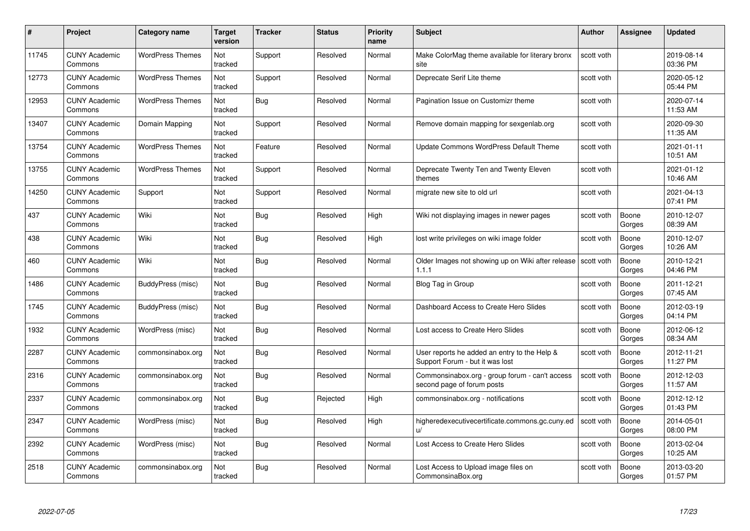| #     | Project                         | Category name           | Target<br>version | <b>Tracker</b> | <b>Status</b> | <b>Priority</b><br>name | <b>Subject</b>                                                                  | <b>Author</b> | Assignee        | <b>Updated</b>         |
|-------|---------------------------------|-------------------------|-------------------|----------------|---------------|-------------------------|---------------------------------------------------------------------------------|---------------|-----------------|------------------------|
| 11745 | <b>CUNY Academic</b><br>Commons | <b>WordPress Themes</b> | Not<br>tracked    | Support        | Resolved      | Normal                  | Make ColorMag theme available for literary bronx<br>site                        | scott voth    |                 | 2019-08-14<br>03:36 PM |
| 12773 | <b>CUNY Academic</b><br>Commons | <b>WordPress Themes</b> | Not<br>tracked    | Support        | Resolved      | Normal                  | Deprecate Serif Lite theme                                                      | scott voth    |                 | 2020-05-12<br>05:44 PM |
| 12953 | <b>CUNY Academic</b><br>Commons | <b>WordPress Themes</b> | Not<br>tracked    | Bug            | Resolved      | Normal                  | Pagination Issue on Customizr theme                                             | scott voth    |                 | 2020-07-14<br>11:53 AM |
| 13407 | <b>CUNY Academic</b><br>Commons | Domain Mapping          | Not<br>tracked    | Support        | Resolved      | Normal                  | Remove domain mapping for sexgenlab.org                                         | scott voth    |                 | 2020-09-30<br>11:35 AM |
| 13754 | <b>CUNY Academic</b><br>Commons | <b>WordPress Themes</b> | Not<br>tracked    | Feature        | Resolved      | Normal                  | Update Commons WordPress Default Theme                                          | scott voth    |                 | 2021-01-11<br>10:51 AM |
| 13755 | <b>CUNY Academic</b><br>Commons | <b>WordPress Themes</b> | Not<br>tracked    | Support        | Resolved      | Normal                  | Deprecate Twenty Ten and Twenty Eleven<br>themes                                | scott voth    |                 | 2021-01-12<br>10:46 AM |
| 14250 | <b>CUNY Academic</b><br>Commons | Support                 | Not<br>tracked    | Support        | Resolved      | Normal                  | migrate new site to old url                                                     | scott voth    |                 | 2021-04-13<br>07:41 PM |
| 437   | <b>CUNY Academic</b><br>Commons | Wiki                    | Not<br>tracked    | <b>Bug</b>     | Resolved      | High                    | Wiki not displaying images in newer pages                                       | scott voth    | Boone<br>Gorges | 2010-12-07<br>08:39 AM |
| 438   | <b>CUNY Academic</b><br>Commons | Wiki                    | Not<br>tracked    | <b>Bug</b>     | Resolved      | High                    | lost write privileges on wiki image folder                                      | scott voth    | Boone<br>Gorges | 2010-12-07<br>10:26 AM |
| 460   | <b>CUNY Academic</b><br>Commons | Wiki                    | Not<br>tracked    | <b>Bug</b>     | Resolved      | Normal                  | Older Images not showing up on Wiki after release Scott voth<br>1.1.1           |               | Boone<br>Gorges | 2010-12-21<br>04:46 PM |
| 1486  | <b>CUNY Academic</b><br>Commons | BuddyPress (misc)       | Not<br>tracked    | <b>Bug</b>     | Resolved      | Normal                  | Blog Tag in Group                                                               | scott voth    | Boone<br>Gorges | 2011-12-21<br>07:45 AM |
| 1745  | <b>CUNY Academic</b><br>Commons | BuddyPress (misc)       | Not<br>tracked    | <b>Bug</b>     | Resolved      | Normal                  | Dashboard Access to Create Hero Slides                                          | scott voth    | Boone<br>Gorges | 2012-03-19<br>04:14 PM |
| 1932  | <b>CUNY Academic</b><br>Commons | WordPress (misc)        | Not<br>tracked    | <b>Bug</b>     | Resolved      | Normal                  | Lost access to Create Hero Slides                                               | scott voth    | Boone<br>Gorges | 2012-06-12<br>08:34 AM |
| 2287  | <b>CUNY Academic</b><br>Commons | commonsinabox.org       | Not<br>tracked    | Bug            | Resolved      | Normal                  | User reports he added an entry to the Help &<br>Support Forum - but it was lost | scott voth    | Boone<br>Gorges | 2012-11-21<br>11:27 PM |
| 2316  | <b>CUNY Academic</b><br>Commons | commonsinabox.org       | Not<br>tracked    | <b>Bug</b>     | Resolved      | Normal                  | Commonsinabox.org - group forum - can't access<br>second page of forum posts    | scott voth    | Boone<br>Gorges | 2012-12-03<br>11:57 AM |
| 2337  | <b>CUNY Academic</b><br>Commons | commonsinabox.org       | Not<br>tracked    | Bug            | Rejected      | High                    | commonsinabox.org - notifications                                               | scott voth    | Boone<br>Gorges | 2012-12-12<br>01:43 PM |
| 2347  | <b>CUNY Academic</b><br>Commons | WordPress (misc)        | Not<br>tracked    | <b>Bug</b>     | Resolved      | High                    | higheredexecutivecertificate.commons.gc.cuny.ed<br>u                            | scott voth    | Boone<br>Gorges | 2014-05-01<br>08:00 PM |
| 2392  | <b>CUNY Academic</b><br>Commons | WordPress (misc)        | Not<br>tracked    | Bug            | Resolved      | Normal                  | Lost Access to Create Hero Slides                                               | scott voth    | Boone<br>Gorges | 2013-02-04<br>10:25 AM |
| 2518  | <b>CUNY Academic</b><br>Commons | commonsinabox.org       | Not<br>tracked    | <b>Bug</b>     | Resolved      | Normal                  | Lost Access to Upload image files on<br>CommonsinaBox.org                       | scott voth    | Boone<br>Gorges | 2013-03-20<br>01:57 PM |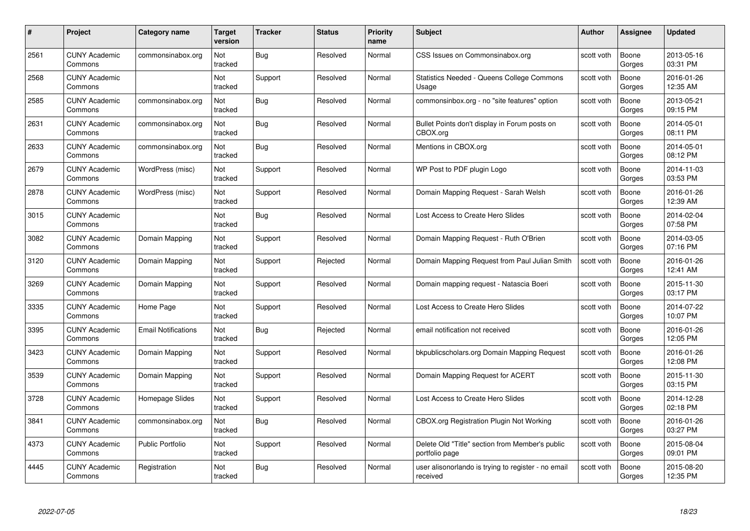| #    | Project                         | <b>Category name</b>       | Target<br>version | <b>Tracker</b> | <b>Status</b> | <b>Priority</b><br>name | <b>Subject</b>                                                    | <b>Author</b> | <b>Assignee</b> | <b>Updated</b>         |
|------|---------------------------------|----------------------------|-------------------|----------------|---------------|-------------------------|-------------------------------------------------------------------|---------------|-----------------|------------------------|
| 2561 | <b>CUNY Academic</b><br>Commons | commonsinabox.org          | Not<br>tracked    | Bug            | Resolved      | Normal                  | CSS Issues on Commonsinabox.org                                   | scott voth    | Boone<br>Gorges | 2013-05-16<br>03:31 PM |
| 2568 | <b>CUNY Academic</b><br>Commons |                            | Not<br>tracked    | Support        | Resolved      | Normal                  | Statistics Needed - Queens College Commons<br>Usage               | scott voth    | Boone<br>Gorges | 2016-01-26<br>12:35 AM |
| 2585 | <b>CUNY Academic</b><br>Commons | commonsinabox.org          | Not<br>tracked    | Bug            | Resolved      | Normal                  | commonsinbox.org - no "site features" option                      | scott voth    | Boone<br>Gorges | 2013-05-21<br>09:15 PM |
| 2631 | <b>CUNY Academic</b><br>Commons | commonsinabox.org          | Not<br>tracked    | Bug            | Resolved      | Normal                  | Bullet Points don't display in Forum posts on<br>CBOX.org         | scott voth    | Boone<br>Gorges | 2014-05-01<br>08:11 PM |
| 2633 | <b>CUNY Academic</b><br>Commons | commonsinabox.org          | Not<br>tracked    | Bug            | Resolved      | Normal                  | Mentions in CBOX.org                                              | scott voth    | Boone<br>Gorges | 2014-05-01<br>08:12 PM |
| 2679 | <b>CUNY Academic</b><br>Commons | WordPress (misc)           | Not<br>tracked    | Support        | Resolved      | Normal                  | WP Post to PDF plugin Logo                                        | scott voth    | Boone<br>Gorges | 2014-11-03<br>03:53 PM |
| 2878 | <b>CUNY Academic</b><br>Commons | WordPress (misc)           | Not<br>tracked    | Support        | Resolved      | Normal                  | Domain Mapping Request - Sarah Welsh                              | scott voth    | Boone<br>Gorges | 2016-01-26<br>12:39 AM |
| 3015 | <b>CUNY Academic</b><br>Commons |                            | Not<br>tracked    | Bug            | Resolved      | Normal                  | Lost Access to Create Hero Slides                                 | scott voth    | Boone<br>Gorges | 2014-02-04<br>07:58 PM |
| 3082 | <b>CUNY Academic</b><br>Commons | Domain Mapping             | Not<br>tracked    | Support        | Resolved      | Normal                  | Domain Mapping Request - Ruth O'Brien                             | scott voth    | Boone<br>Gorges | 2014-03-05<br>07:16 PM |
| 3120 | <b>CUNY Academic</b><br>Commons | Domain Mapping             | Not<br>tracked    | Support        | Rejected      | Normal                  | Domain Mapping Request from Paul Julian Smith                     | scott voth    | Boone<br>Gorges | 2016-01-26<br>12:41 AM |
| 3269 | <b>CUNY Academic</b><br>Commons | Domain Mapping             | Not<br>tracked    | Support        | Resolved      | Normal                  | Domain mapping request - Natascia Boeri                           | scott voth    | Boone<br>Gorges | 2015-11-30<br>03:17 PM |
| 3335 | <b>CUNY Academic</b><br>Commons | Home Page                  | Not<br>tracked    | Support        | Resolved      | Normal                  | Lost Access to Create Hero Slides                                 | scott voth    | Boone<br>Gorges | 2014-07-22<br>10:07 PM |
| 3395 | <b>CUNY Academic</b><br>Commons | <b>Email Notifications</b> | Not<br>tracked    | <b>Bug</b>     | Rejected      | Normal                  | email notification not received                                   | scott voth    | Boone<br>Gorges | 2016-01-26<br>12:05 PM |
| 3423 | <b>CUNY Academic</b><br>Commons | Domain Mapping             | Not<br>tracked    | Support        | Resolved      | Normal                  | bkpublicscholars.org Domain Mapping Request                       | scott voth    | Boone<br>Gorges | 2016-01-26<br>12:08 PM |
| 3539 | <b>CUNY Academic</b><br>Commons | Domain Mapping             | Not<br>tracked    | Support        | Resolved      | Normal                  | Domain Mapping Request for ACERT                                  | scott voth    | Boone<br>Gorges | 2015-11-30<br>03:15 PM |
| 3728 | <b>CUNY Academic</b><br>Commons | Homepage Slides            | Not<br>tracked    | Support        | Resolved      | Normal                  | Lost Access to Create Hero Slides                                 | scott voth    | Boone<br>Gorges | 2014-12-28<br>02:18 PM |
| 3841 | <b>CUNY Academic</b><br>Commons | commonsinabox.org          | Not<br>tracked    | <b>Bug</b>     | Resolved      | Normal                  | CBOX.org Registration Plugin Not Working                          | scott voth    | Boone<br>Gorges | 2016-01-26<br>03:27 PM |
| 4373 | <b>CUNY Academic</b><br>Commons | <b>Public Portfolio</b>    | Not<br>tracked    | Support        | Resolved      | Normal                  | Delete Old "Title" section from Member's public<br>portfolio page | scott voth    | Boone<br>Gorges | 2015-08-04<br>09:01 PM |
| 4445 | CUNY Academic<br>Commons        | Registration               | Not<br>tracked    | <b>Bug</b>     | Resolved      | Normal                  | user alisonorlando is trying to register - no email<br>received   | scott voth    | Boone<br>Gorges | 2015-08-20<br>12:35 PM |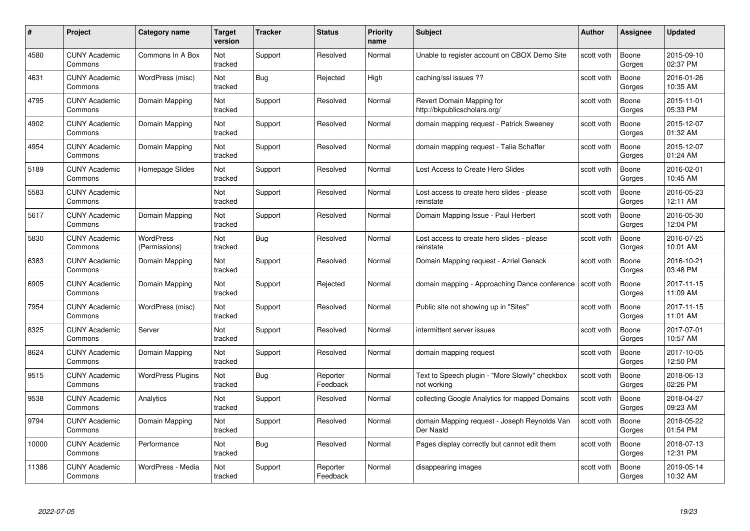| #     | Project                         | Category name              | Target<br>version | <b>Tracker</b> | <b>Status</b>        | <b>Priority</b><br>name | <b>Subject</b>                                                | Author     | <b>Assignee</b> | <b>Updated</b>         |
|-------|---------------------------------|----------------------------|-------------------|----------------|----------------------|-------------------------|---------------------------------------------------------------|------------|-----------------|------------------------|
| 4580  | <b>CUNY Academic</b><br>Commons | Commons In A Box           | Not<br>tracked    | Support        | Resolved             | Normal                  | Unable to register account on CBOX Demo Site                  | scott voth | Boone<br>Gorges | 2015-09-10<br>02:37 PM |
| 4631  | <b>CUNY Academic</b><br>Commons | WordPress (misc)           | Not<br>tracked    | <b>Bug</b>     | Rejected             | High                    | caching/ssl issues ??                                         | scott voth | Boone<br>Gorges | 2016-01-26<br>10:35 AM |
| 4795  | <b>CUNY Academic</b><br>Commons | Domain Mapping             | Not<br>tracked    | Support        | Resolved             | Normal                  | Revert Domain Mapping for<br>http://bkpublicscholars.org/     | scott voth | Boone<br>Gorges | 2015-11-01<br>05:33 PM |
| 4902  | <b>CUNY Academic</b><br>Commons | Domain Mapping             | Not<br>tracked    | Support        | Resolved             | Normal                  | domain mapping request - Patrick Sweeney                      | scott voth | Boone<br>Gorges | 2015-12-07<br>01:32 AM |
| 4954  | <b>CUNY Academic</b><br>Commons | Domain Mapping             | Not<br>tracked    | Support        | Resolved             | Normal                  | domain mapping request - Talia Schaffer                       | scott voth | Boone<br>Gorges | 2015-12-07<br>01:24 AM |
| 5189  | <b>CUNY Academic</b><br>Commons | Homepage Slides            | Not<br>tracked    | Support        | Resolved             | Normal                  | Lost Access to Create Hero Slides                             | scott voth | Boone<br>Gorges | 2016-02-01<br>10:45 AM |
| 5583  | <b>CUNY Academic</b><br>Commons |                            | Not<br>tracked    | Support        | Resolved             | Normal                  | Lost access to create hero slides - please<br>reinstate       | scott voth | Boone<br>Gorges | 2016-05-23<br>12:11 AM |
| 5617  | <b>CUNY Academic</b><br>Commons | Domain Mapping             | Not<br>tracked    | Support        | Resolved             | Normal                  | Domain Mapping Issue - Paul Herbert                           | scott voth | Boone<br>Gorges | 2016-05-30<br>12:04 PM |
| 5830  | <b>CUNY Academic</b><br>Commons | WordPress<br>(Permissions) | Not<br>tracked    | Bug            | Resolved             | Normal                  | Lost access to create hero slides - please<br>reinstate       | scott voth | Boone<br>Gorges | 2016-07-25<br>10:01 AM |
| 6383  | <b>CUNY Academic</b><br>Commons | Domain Mapping             | Not<br>tracked    | Support        | Resolved             | Normal                  | Domain Mapping request - Azriel Genack                        | scott voth | Boone<br>Gorges | 2016-10-21<br>03:48 PM |
| 6905  | <b>CUNY Academic</b><br>Commons | Domain Mapping             | Not<br>tracked    | Support        | Rejected             | Normal                  | domain mapping - Approaching Dance conference                 | scott voth | Boone<br>Gorges | 2017-11-15<br>11:09 AM |
| 7954  | <b>CUNY Academic</b><br>Commons | WordPress (misc)           | Not<br>tracked    | Support        | Resolved             | Normal                  | Public site not showing up in "Sites"                         | scott voth | Boone<br>Gorges | 2017-11-15<br>11:01 AM |
| 8325  | <b>CUNY Academic</b><br>Commons | Server                     | Not<br>tracked    | Support        | Resolved             | Normal                  | intermittent server issues                                    | scott voth | Boone<br>Gorges | 2017-07-01<br>10:57 AM |
| 8624  | <b>CUNY Academic</b><br>Commons | Domain Mapping             | Not<br>tracked    | Support        | Resolved             | Normal                  | domain mapping request                                        | scott voth | Boone<br>Gorges | 2017-10-05<br>12:50 PM |
| 9515  | <b>CUNY Academic</b><br>Commons | <b>WordPress Plugins</b>   | Not<br>tracked    | Bug            | Reporter<br>Feedback | Normal                  | Text to Speech plugin - "More Slowly" checkbox<br>not working | scott voth | Boone<br>Gorges | 2018-06-13<br>02:26 PM |
| 9538  | <b>CUNY Academic</b><br>Commons | Analytics                  | Not<br>tracked    | Support        | Resolved             | Normal                  | collecting Google Analytics for mapped Domains                | scott voth | Boone<br>Gorges | 2018-04-27<br>09:23 AM |
| 9794  | <b>CUNY Academic</b><br>Commons | Domain Mapping             | Not<br>tracked    | Support        | Resolved             | Normal                  | domain Mapping request - Joseph Reynolds Van<br>Der Naald     | scott voth | Boone<br>Gorges | 2018-05-22<br>01:54 PM |
| 10000 | <b>CUNY Academic</b><br>Commons | Performance                | Not<br>tracked    | <b>Bug</b>     | Resolved             | Normal                  | Pages display correctly but cannot edit them                  | scott voth | Boone<br>Gorges | 2018-07-13<br>12:31 PM |
| 11386 | CUNY Academic<br>Commons        | WordPress - Media          | Not<br>tracked    | Support        | Reporter<br>Feedback | Normal                  | disappearing images                                           | scott voth | Boone<br>Gorges | 2019-05-14<br>10:32 AM |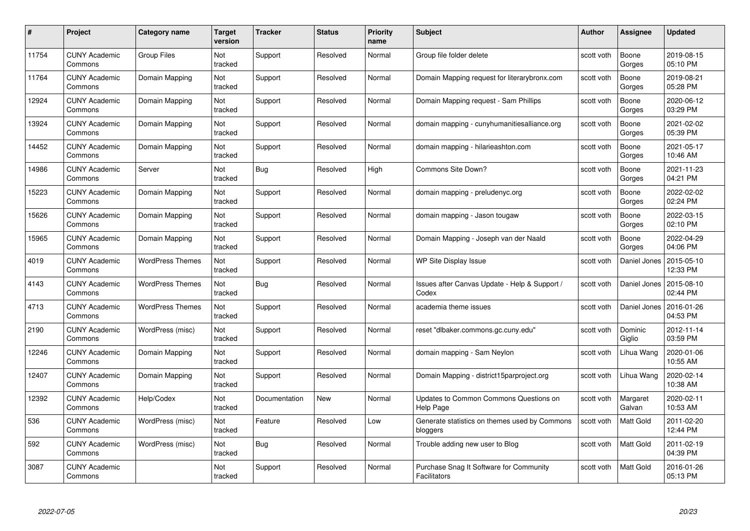| #     | Project                         | <b>Category name</b>    | Target<br>version     | <b>Tracker</b> | <b>Status</b> | <b>Priority</b><br>name | <b>Subject</b>                                                 | <b>Author</b> | <b>Assignee</b>    | <b>Updated</b>         |
|-------|---------------------------------|-------------------------|-----------------------|----------------|---------------|-------------------------|----------------------------------------------------------------|---------------|--------------------|------------------------|
| 11754 | <b>CUNY Academic</b><br>Commons | <b>Group Files</b>      | Not<br>tracked        | Support        | Resolved      | Normal                  | Group file folder delete                                       | scott voth    | Boone<br>Gorges    | 2019-08-15<br>05:10 PM |
| 11764 | <b>CUNY Academic</b><br>Commons | Domain Mapping          | Not<br>tracked        | Support        | Resolved      | Normal                  | Domain Mapping request for literarybronx.com                   | scott voth    | Boone<br>Gorges    | 2019-08-21<br>05:28 PM |
| 12924 | <b>CUNY Academic</b><br>Commons | Domain Mapping          | Not<br>tracked        | Support        | Resolved      | Normal                  | Domain Mapping request - Sam Phillips                          | scott voth    | Boone<br>Gorges    | 2020-06-12<br>03:29 PM |
| 13924 | <b>CUNY Academic</b><br>Commons | Domain Mapping          | Not<br>tracked        | Support        | Resolved      | Normal                  | domain mapping - cunyhumanitiesalliance.org                    | scott voth    | Boone<br>Gorges    | 2021-02-02<br>05:39 PM |
| 14452 | <b>CUNY Academic</b><br>Commons | Domain Mapping          | <b>Not</b><br>tracked | Support        | Resolved      | Normal                  | domain mapping - hilarieashton.com                             | scott voth    | Boone<br>Gorges    | 2021-05-17<br>10:46 AM |
| 14986 | <b>CUNY Academic</b><br>Commons | Server                  | Not<br>tracked        | <b>Bug</b>     | Resolved      | High                    | Commons Site Down?                                             | scott voth    | Boone<br>Gorges    | 2021-11-23<br>04:21 PM |
| 15223 | <b>CUNY Academic</b><br>Commons | Domain Mapping          | Not<br>tracked        | Support        | Resolved      | Normal                  | domain mapping - preludenyc.org                                | scott voth    | Boone<br>Gorges    | 2022-02-02<br>02:24 PM |
| 15626 | <b>CUNY Academic</b><br>Commons | Domain Mapping          | Not<br>tracked        | Support        | Resolved      | Normal                  | domain mapping - Jason tougaw                                  | scott voth    | Boone<br>Gorges    | 2022-03-15<br>02:10 PM |
| 15965 | <b>CUNY Academic</b><br>Commons | Domain Mapping          | Not<br>tracked        | Support        | Resolved      | Normal                  | Domain Mapping - Joseph van der Naald                          | scott voth    | Boone<br>Gorges    | 2022-04-29<br>04:06 PM |
| 4019  | <b>CUNY Academic</b><br>Commons | <b>WordPress Themes</b> | Not<br>tracked        | Support        | Resolved      | Normal                  | WP Site Display Issue                                          | scott voth    | Daniel Jones       | 2015-05-10<br>12:33 PM |
| 4143  | <b>CUNY Academic</b><br>Commons | <b>WordPress Themes</b> | Not<br>tracked        | <b>Bug</b>     | Resolved      | Normal                  | Issues after Canvas Update - Help & Support /<br>Codex         | scott voth    | Daniel Jones       | 2015-08-10<br>02:44 PM |
| 4713  | <b>CUNY Academic</b><br>Commons | <b>WordPress Themes</b> | Not<br>tracked        | Support        | Resolved      | Normal                  | academia theme issues                                          | scott voth    | Daniel Jones       | 2016-01-26<br>04:53 PM |
| 2190  | <b>CUNY Academic</b><br>Commons | WordPress (misc)        | Not<br>tracked        | Support        | Resolved      | Normal                  | reset "dlbaker.commons.gc.cuny.edu"                            | scott voth    | Dominic<br>Giglio  | 2012-11-14<br>03:59 PM |
| 12246 | <b>CUNY Academic</b><br>Commons | Domain Mapping          | Not<br>tracked        | Support        | Resolved      | Normal                  | domain mapping - Sam Neylon                                    | scott voth    | Lihua Wang         | 2020-01-06<br>10:55 AM |
| 12407 | <b>CUNY Academic</b><br>Commons | Domain Mapping          | Not<br>tracked        | Support        | Resolved      | Normal                  | Domain Mapping - district15parproject.org                      | scott voth    | Lihua Wang         | 2020-02-14<br>10:38 AM |
| 12392 | <b>CUNY Academic</b><br>Commons | Help/Codex              | Not<br>tracked        | Documentation  | New           | Normal                  | Updates to Common Commons Questions on<br>Help Page            | scott voth    | Margaret<br>Galvan | 2020-02-11<br>10:53 AM |
| 536   | <b>CUNY Academic</b><br>Commons | WordPress (misc)        | Not<br>tracked        | Feature        | Resolved      | Low                     | Generate statistics on themes used by Commons<br>bloggers      | scott voth    | Matt Gold          | 2011-02-20<br>12:44 PM |
| 592   | <b>CUNY Academic</b><br>Commons | WordPress (misc)        | Not<br>tracked        | Bug            | Resolved      | Normal                  | Trouble adding new user to Blog                                | scott voth    | Matt Gold          | 2011-02-19<br>04:39 PM |
| 3087  | <b>CUNY Academic</b><br>Commons |                         | Not<br>tracked        | Support        | Resolved      | Normal                  | Purchase Snag It Software for Community<br><b>Facilitators</b> | scott voth    | Matt Gold          | 2016-01-26<br>05:13 PM |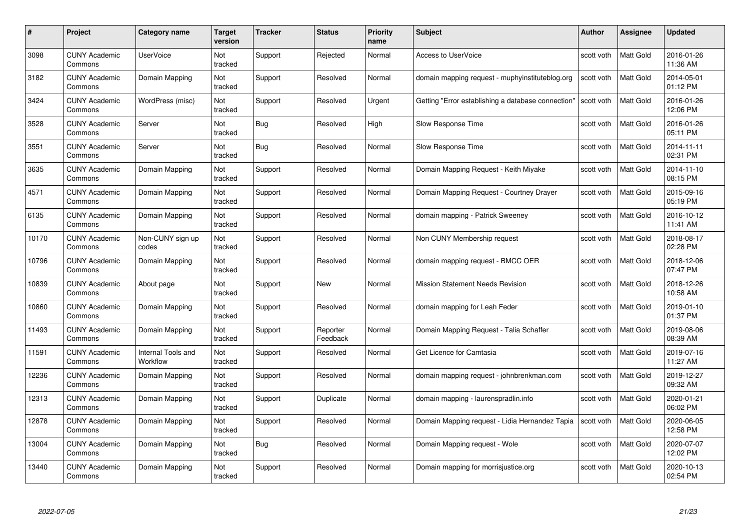| #     | Project                         | <b>Category name</b>           | Target<br>version | <b>Tracker</b> | <b>Status</b>        | <b>Priority</b><br>name | <b>Subject</b>                                     | <b>Author</b> | <b>Assignee</b>  | <b>Updated</b>         |
|-------|---------------------------------|--------------------------------|-------------------|----------------|----------------------|-------------------------|----------------------------------------------------|---------------|------------------|------------------------|
| 3098  | <b>CUNY Academic</b><br>Commons | <b>UserVoice</b>               | Not<br>tracked    | Support        | Rejected             | Normal                  | <b>Access to UserVoice</b>                         | scott voth    | <b>Matt Gold</b> | 2016-01-26<br>11:36 AM |
| 3182  | <b>CUNY Academic</b><br>Commons | Domain Mapping                 | Not<br>tracked    | Support        | Resolved             | Normal                  | domain mapping request - muphyinstituteblog.org    | scott voth    | <b>Matt Gold</b> | 2014-05-01<br>01:12 PM |
| 3424  | <b>CUNY Academic</b><br>Commons | WordPress (misc)               | Not<br>tracked    | Support        | Resolved             | Urgent                  | Getting "Error establishing a database connection" | scott voth    | <b>Matt Gold</b> | 2016-01-26<br>12:06 PM |
| 3528  | <b>CUNY Academic</b><br>Commons | Server                         | Not<br>tracked    | Bug            | Resolved             | High                    | Slow Response Time                                 | scott voth    | Matt Gold        | 2016-01-26<br>05:11 PM |
| 3551  | CUNY Academic<br>Commons        | Server                         | Not<br>tracked    | <b>Bug</b>     | Resolved             | Normal                  | Slow Response Time                                 | scott voth    | <b>Matt Gold</b> | 2014-11-11<br>02:31 PM |
| 3635  | <b>CUNY Academic</b><br>Commons | Domain Mapping                 | Not<br>tracked    | Support        | Resolved             | Normal                  | Domain Mapping Request - Keith Miyake              | scott voth    | Matt Gold        | 2014-11-10<br>08:15 PM |
| 4571  | <b>CUNY Academic</b><br>Commons | Domain Mapping                 | Not<br>tracked    | Support        | Resolved             | Normal                  | Domain Mapping Request - Courtney Drayer           | scott voth    | <b>Matt Gold</b> | 2015-09-16<br>05:19 PM |
| 6135  | <b>CUNY Academic</b><br>Commons | Domain Mapping                 | Not<br>tracked    | Support        | Resolved             | Normal                  | domain mapping - Patrick Sweeney                   | scott voth    | <b>Matt Gold</b> | 2016-10-12<br>11:41 AM |
| 10170 | <b>CUNY Academic</b><br>Commons | Non-CUNY sign up<br>codes      | Not<br>tracked    | Support        | Resolved             | Normal                  | Non CUNY Membership request                        | scott voth    | Matt Gold        | 2018-08-17<br>02:28 PM |
| 10796 | <b>CUNY Academic</b><br>Commons | Domain Mapping                 | Not<br>tracked    | Support        | Resolved             | Normal                  | domain mapping request - BMCC OER                  | scott voth    | <b>Matt Gold</b> | 2018-12-06<br>07:47 PM |
| 10839 | CUNY Academic<br>Commons        | About page                     | Not<br>tracked    | Support        | New                  | Normal                  | <b>Mission Statement Needs Revision</b>            | scott voth    | Matt Gold        | 2018-12-26<br>10:58 AM |
| 10860 | <b>CUNY Academic</b><br>Commons | Domain Mapping                 | Not<br>tracked    | Support        | Resolved             | Normal                  | domain mapping for Leah Feder                      | scott voth    | Matt Gold        | 2019-01-10<br>01:37 PM |
| 11493 | <b>CUNY Academic</b><br>Commons | Domain Mapping                 | Not<br>tracked    | Support        | Reporter<br>Feedback | Normal                  | Domain Mapping Request - Talia Schaffer            | scott voth    | <b>Matt Gold</b> | 2019-08-06<br>08:39 AM |
| 11591 | <b>CUNY Academic</b><br>Commons | Internal Tools and<br>Workflow | Not<br>tracked    | Support        | Resolved             | Normal                  | Get Licence for Camtasia                           | scott voth    | Matt Gold        | 2019-07-16<br>11:27 AM |
| 12236 | <b>CUNY Academic</b><br>Commons | Domain Mapping                 | Not<br>tracked    | Support        | Resolved             | Normal                  | domain mapping request - johnbrenkman.com          | scott voth    | Matt Gold        | 2019-12-27<br>09:32 AM |
| 12313 | <b>CUNY Academic</b><br>Commons | Domain Mapping                 | Not<br>tracked    | Support        | Duplicate            | Normal                  | domain mapping - laurenspradlin.info               | scott voth    | Matt Gold        | 2020-01-21<br>06:02 PM |
| 12878 | <b>CUNY Academic</b><br>Commons | Domain Mapping                 | Not<br>tracked    | Support        | Resolved             | Normal                  | Domain Mapping request - Lidia Hernandez Tapia     | scott voth    | <b>Matt Gold</b> | 2020-06-05<br>12:58 PM |
| 13004 | <b>CUNY Academic</b><br>Commons | Domain Mapping                 | Not<br>tracked    | <b>Bug</b>     | Resolved             | Normal                  | Domain Mapping request - Wole                      | scott voth    | Matt Gold        | 2020-07-07<br>12:02 PM |
| 13440 | CUNY Academic<br>Commons        | Domain Mapping                 | Not<br>tracked    | Support        | Resolved             | Normal                  | Domain mapping for morrisjustice.org               | scott voth    | <b>Matt Gold</b> | 2020-10-13<br>02:54 PM |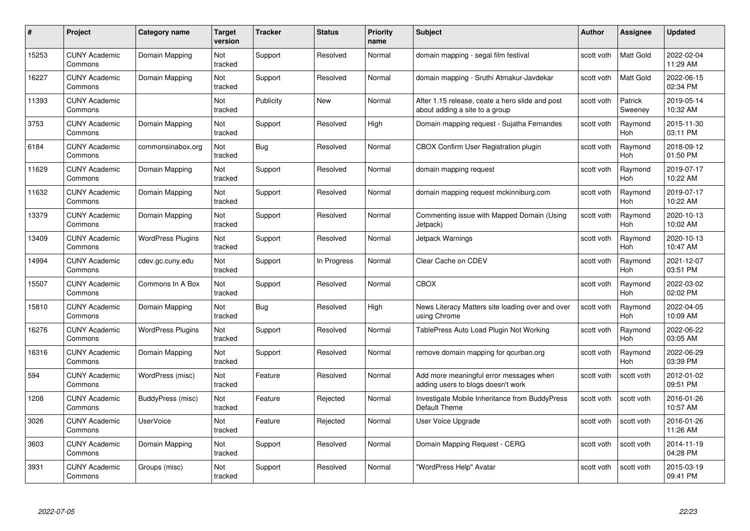| #     | Project                         | Category name            | Target<br>version | <b>Tracker</b> | <b>Status</b> | <b>Priority</b><br>name | <b>Subject</b>                                                                    | <b>Author</b> | Assignee              | <b>Updated</b>         |
|-------|---------------------------------|--------------------------|-------------------|----------------|---------------|-------------------------|-----------------------------------------------------------------------------------|---------------|-----------------------|------------------------|
| 15253 | <b>CUNY Academic</b><br>Commons | Domain Mapping           | Not<br>tracked    | Support        | Resolved      | Normal                  | domain mapping - segal film festival                                              | scott voth    | Matt Gold             | 2022-02-04<br>11:29 AM |
| 16227 | <b>CUNY Academic</b><br>Commons | Domain Mapping           | Not<br>tracked    | Support        | Resolved      | Normal                  | domain mapping - Sruthi Atmakur-Javdekar                                          | scott voth    | Matt Gold             | 2022-06-15<br>02:34 PM |
| 11393 | <b>CUNY Academic</b><br>Commons |                          | Not<br>tracked    | Publicity      | <b>New</b>    | Normal                  | After 1.15 release, ceate a hero slide and post<br>about adding a site to a group | scott voth    | Patrick<br>Sweeney    | 2019-05-14<br>10:32 AM |
| 3753  | <b>CUNY Academic</b><br>Commons | Domain Mapping           | Not<br>tracked    | Support        | Resolved      | High                    | Domain mapping request - Sujatha Fernandes                                        | scott voth    | Raymond<br>Hoh        | 2015-11-30<br>03:11 PM |
| 6184  | <b>CUNY Academic</b><br>Commons | commonsinabox.org        | Not<br>tracked    | Bug            | Resolved      | Normal                  | CBOX Confirm User Registration plugin                                             | scott voth    | Raymond<br>Hoh        | 2018-09-12<br>01:50 PM |
| 11629 | <b>CUNY Academic</b><br>Commons | Domain Mapping           | Not<br>tracked    | Support        | Resolved      | Normal                  | domain mapping request                                                            | scott voth    | Raymond<br>Hoh        | 2019-07-17<br>10:22 AM |
| 11632 | <b>CUNY Academic</b><br>Commons | Domain Mapping           | Not<br>tracked    | Support        | Resolved      | Normal                  | domain mapping request mckinniburg.com                                            | scott voth    | Raymond<br>Hoh        | 2019-07-17<br>10:22 AM |
| 13379 | <b>CUNY Academic</b><br>Commons | Domain Mapping           | Not<br>tracked    | Support        | Resolved      | Normal                  | Commenting issue with Mapped Domain (Using<br>Jetpack)                            | scott voth    | Raymond<br>Hoh        | 2020-10-13<br>10:02 AM |
| 13409 | <b>CUNY Academic</b><br>Commons | <b>WordPress Plugins</b> | Not<br>tracked    | Support        | Resolved      | Normal                  | Jetpack Warnings                                                                  | scott voth    | Raymond<br><b>Hoh</b> | 2020-10-13<br>10:47 AM |
| 14994 | <b>CUNY Academic</b><br>Commons | cdev.gc.cuny.edu         | Not<br>tracked    | Support        | In Progress   | Normal                  | Clear Cache on CDEV                                                               | scott voth    | Raymond<br>Hoh        | 2021-12-07<br>03:51 PM |
| 15507 | <b>CUNY Academic</b><br>Commons | Commons In A Box         | Not<br>tracked    | Support        | Resolved      | Normal                  | <b>CBOX</b>                                                                       | scott voth    | Raymond<br>Hoh        | 2022-03-02<br>02:02 PM |
| 15810 | <b>CUNY Academic</b><br>Commons | Domain Mapping           | Not<br>tracked    | Bug            | Resolved      | High                    | News Literacy Matters site loading over and over<br>using Chrome                  | scott voth    | Raymond<br>Hoh        | 2022-04-05<br>10:09 AM |
| 16276 | <b>CUNY Academic</b><br>Commons | <b>WordPress Plugins</b> | Not<br>tracked    | Support        | Resolved      | Normal                  | TablePress Auto Load Plugin Not Working                                           | scott voth    | Raymond<br>Hoh        | 2022-06-22<br>03:05 AM |
| 16316 | <b>CUNY Academic</b><br>Commons | Domain Mapping           | Not<br>tracked    | Support        | Resolved      | Normal                  | remove domain mapping for gcurban.org                                             | scott voth    | Raymond<br>Hoh        | 2022-06-29<br>03:39 PM |
| 594   | <b>CUNY Academic</b><br>Commons | WordPress (misc)         | Not<br>tracked    | Feature        | Resolved      | Normal                  | Add more meaningful error messages when<br>adding users to blogs doesn't work     | scott voth    | scott voth            | 2012-01-02<br>09:51 PM |
| 1208  | <b>CUNY Academic</b><br>Commons | BuddyPress (misc)        | Not<br>tracked    | Feature        | Rejected      | Normal                  | Investigate Mobile Inheritance from BuddyPress<br>Default Theme                   | scott voth    | scott voth            | 2016-01-26<br>10:57 AM |
| 3026  | <b>CUNY Academic</b><br>Commons | <b>UserVoice</b>         | Not<br>tracked    | Feature        | Rejected      | Normal                  | User Voice Upgrade                                                                | scott voth    | scott voth            | 2016-01-26<br>11:26 AM |
| 3603  | <b>CUNY Academic</b><br>Commons | Domain Mapping           | Not<br>tracked    | Support        | Resolved      | Normal                  | Domain Mapping Request - CERG                                                     | scott voth    | scott voth            | 2014-11-19<br>04:28 PM |
| 3931  | <b>CUNY Academic</b><br>Commons | Groups (misc)            | Not<br>tracked    | Support        | Resolved      | Normal                  | "WordPress Help" Avatar                                                           | scott voth    | scott voth            | 2015-03-19<br>09:41 PM |